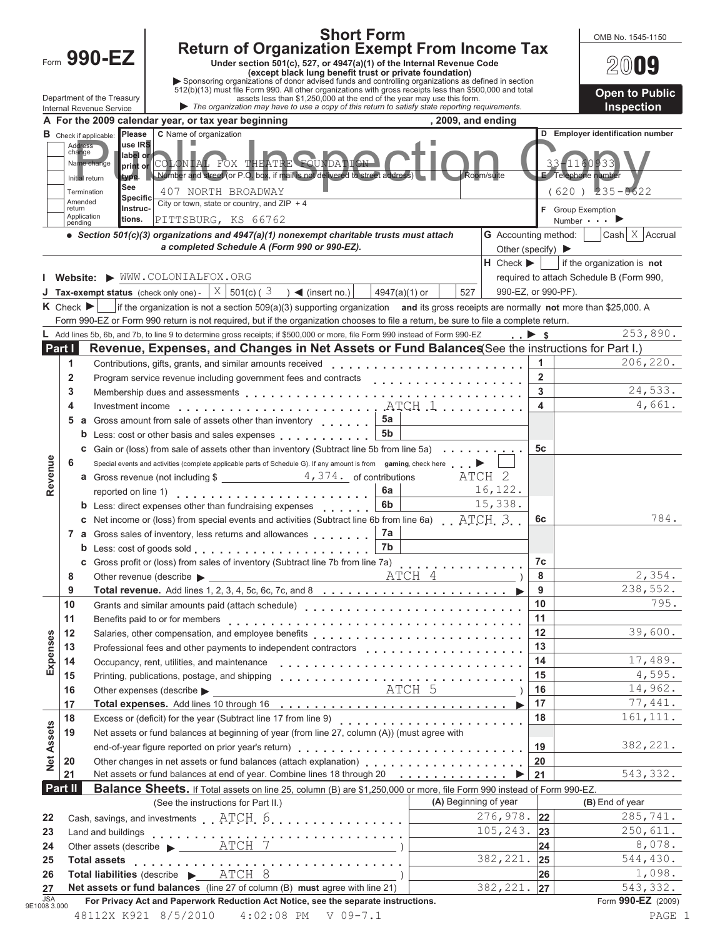|                   |                                 |                               | <b>Short Form</b>                                                                                                                                                                                               |                                 |                                       | OMB No. 1545-1150                        |
|-------------------|---------------------------------|-------------------------------|-----------------------------------------------------------------------------------------------------------------------------------------------------------------------------------------------------------------|---------------------------------|---------------------------------------|------------------------------------------|
|                   |                                 | Form 990-EZ                   | <b>Return of Organization Exempt From Income Tax</b>                                                                                                                                                            |                                 |                                       |                                          |
|                   |                                 |                               | Under section 501(c), 527, or 4947(a)(1) of the Internal Revenue Code<br>(except black lung benefit trust or private foundation)                                                                                |                                 |                                       | $200$ uy                                 |
|                   |                                 |                               | Sponsoring organizations of donor advised funds and controlling organizations as defined in section<br>512(b)(13) must file Form 990. All other organizations with gross receipts less than \$500,000 and total |                                 |                                       |                                          |
|                   |                                 | Department of the Treasury    | assets less than \$1,250,000 at the end of the year may use this form.                                                                                                                                          |                                 |                                       | <b>Open to Public</b>                    |
|                   |                                 | Internal Revenue Service      | The organization may have to use a copy of this return to satisfy state reporting requirements.<br>A For the 2009 calendar year, or tax year beginning<br>$, 2009$ , and ending                                 |                                 |                                       | Inspection                               |
|                   |                                 | <b>B</b> Check if applicable: | C Name of organization<br>Please                                                                                                                                                                                |                                 |                                       | D Employer identification number         |
|                   | Address<br>change               |                               | L.<br>use IRS                                                                                                                                                                                                   |                                 |                                       |                                          |
|                   |                                 | Name change                   | label or<br>COLONIAL FOX THEATRE FOUNDATION<br>print or                                                                                                                                                         |                                 |                                       |                                          |
|                   |                                 | Initial return                | Number and street (or P.O. box, if mail is not delivered to street address)<br>Room/suite<br>type.                                                                                                              |                                 |                                       | E Telephone number                       |
|                   |                                 | Termination                   | See<br>407 NORTH BROADWAY<br><b>Specific</b>                                                                                                                                                                    |                                 | (620)                                 | $235 - 0622$                             |
|                   | return                          | Amended                       | City or town, state or country, and $ZIP + 4$<br>Instruc-                                                                                                                                                       |                                 |                                       | F Group Exemption                        |
|                   | pending                         | Application                   | tions.<br>PITTSBURG, KS 66762                                                                                                                                                                                   |                                 |                                       | Number $\blacksquare$                    |
|                   |                                 |                               | • Section 501(c)(3) organizations and 4947(a)(1) nonexempt charitable trusts must attach                                                                                                                        | <b>G</b> Accounting method:     |                                       | Cash $\vert$ X $\vert$ Accrual           |
|                   |                                 |                               | a completed Schedule A (Form 990 or 990-EZ).                                                                                                                                                                    |                                 | Other (specify) $\blacktriangleright$ |                                          |
|                   |                                 |                               | Website: WWW.COLONIALFOX.ORG                                                                                                                                                                                    | $H$ Check $\blacktriangleright$ |                                       | if the organization is not               |
|                   |                                 |                               | <b>Tax-exempt status</b> (check only one) - $ X $ 501(c) (3) $\blacktriangleleft$ (insert no.)<br>527<br>$4947(a)(1)$ or                                                                                        |                                 | 990-EZ, or 990-PF).                   | required to attach Schedule B (Form 990, |
|                   | $K$ Check $\blacktriangleright$ |                               | if the organization is not a section 509(a)(3) supporting organization and its gross receipts are normally not more than \$25,000. A                                                                            |                                 |                                       |                                          |
|                   |                                 |                               | Form 990-EZ or Form 990 return is not required, but if the organization chooses to file a return, be sure to file a complete return.                                                                            |                                 |                                       |                                          |
|                   |                                 |                               | Add lines 5b, 6b, and 7b, to line 9 to determine gross receipts; if \$500,000 or more, file Form 990 instead of Form 990-EZ                                                                                     | $\cdot \cdot$ $\cdot$ s         |                                       | 253,890.                                 |
| Part I            |                                 |                               | Revenue, Expenses, and Changes in Net Assets or Fund Balances See the instructions for Part I.)                                                                                                                 |                                 |                                       |                                          |
|                   | 1                               |                               | Contributions, gifts, grants, and similar amounts received                                                                                                                                                      |                                 | $\blacktriangleleft$                  | 206,220.                                 |
|                   | 2                               |                               | Program service revenue including government fees and contracts<br>                                                                                                                                             |                                 | $\overline{2}$                        |                                          |
|                   | 3                               |                               |                                                                                                                                                                                                                 |                                 | $\overline{3}$                        | 24,533.                                  |
|                   | 4                               |                               | Investment income $\ldots \ldots \ldots \ldots \ldots \ldots \ldots \ldots$ . ATCH $\ldots \ldots \ldots$                                                                                                       |                                 | $\overline{4}$                        | 4,661.                                   |
|                   |                                 |                               | 5a<br>5 a Gross amount from sale of assets other than inventory [1, 1, 1, 1, 1]                                                                                                                                 |                                 |                                       |                                          |
|                   |                                 |                               | 5 <sub>b</sub><br><b>b</b> Less: cost or other basis and sales expenses                                                                                                                                         |                                 |                                       |                                          |
|                   |                                 |                               | <b>c</b> Gain or (loss) from sale of assets other than inventory (Subtract line 5b from line 5a)                                                                                                                |                                 | 5с                                    |                                          |
|                   | 6                               |                               | Special events and activities (complete applicable parts of Schedule G). If any amount is from gaming, check here                                                                                               |                                 |                                       |                                          |
| Revenue           |                                 |                               | <b>a</b> Gross revenue (not including $\frac{2}{\sqrt{3}}$ $\frac{4}{\sqrt{374}}$ of contributions<br>ATCH <sub>2</sub><br>6a                                                                                   | 16,122.                         |                                       |                                          |
|                   |                                 |                               | reported on line 1)<br>6b<br><b>b</b> Less: direct expenses other than fundraising expenses                                                                                                                     | 15,338.                         |                                       |                                          |
|                   |                                 |                               | <b>c</b> Net income or (loss) from special events and activities (Subtract line 6b from line 6a) $ATCH_3$                                                                                                       |                                 | 6с                                    | 784.                                     |
|                   |                                 |                               | 7a<br>7 a Gross sales of inventory, less returns and allowances                                                                                                                                                 |                                 |                                       |                                          |
|                   |                                 |                               | 7 <sub>b</sub>                                                                                                                                                                                                  |                                 |                                       |                                          |
|                   |                                 |                               | C Gross profit or (loss) from sales of inventory (Subtract line 7b from line 7a)<br>C Gross profit or (loss) from sales of inventory (Subtract line 7b from line 7a)                                            |                                 | 7c                                    |                                          |
|                   | 8                               |                               |                                                                                                                                                                                                                 |                                 | 8                                     | 2,354.                                   |
|                   | 9                               |                               |                                                                                                                                                                                                                 |                                 | 9                                     | 238,552.                                 |
|                   | 10                              |                               |                                                                                                                                                                                                                 |                                 | 10                                    | 795.                                     |
|                   | 11                              |                               |                                                                                                                                                                                                                 |                                 | 11                                    |                                          |
|                   | 12                              |                               | Salaries, other compensation, and employee benefits                                                                                                                                                             |                                 | 12                                    | 39,600.                                  |
|                   | 13                              |                               | Professional fees and other payments to independent contractors                                                                                                                                                 |                                 | 13                                    |                                          |
| Expenses          | 14                              |                               | Occupancy, rent, utilities, and maintenance<br>                                                                                                                                                                 |                                 | 14                                    | 17,489.                                  |
|                   | 15                              |                               |                                                                                                                                                                                                                 |                                 | 15<br>16                              | 4,595.<br>14,962.                        |
|                   | 16<br>17                        |                               |                                                                                                                                                                                                                 |                                 | 17                                    | 77,441.                                  |
|                   | 18                              |                               |                                                                                                                                                                                                                 |                                 | 18                                    | 161, 111.                                |
| <b>Net Assets</b> | 19                              |                               | Net assets or fund balances at beginning of year (from line 27, column (A)) (must agree with                                                                                                                    |                                 |                                       |                                          |
|                   |                                 |                               |                                                                                                                                                                                                                 |                                 |                                       | 382,221.                                 |
|                   | 20                              |                               | Other changes in net assets or fund balances (attach explanation)                                                                                                                                               |                                 | 20                                    |                                          |
|                   | 21                              |                               | Net assets or fund balances at end of year. Combine lines 18 through 20 ▶ 21                                                                                                                                    |                                 |                                       | 543,332.                                 |
|                   | Part II                         |                               | <b>Balance Sheets.</b> If Total assets on line 25, column (B) are \$1,250,000 or more, file Form 990 instead of Form 990-EZ.                                                                                    |                                 |                                       |                                          |
|                   |                                 |                               | (A) Beginning of year<br>(See the instructions for Part II.)                                                                                                                                                    |                                 |                                       | (B) End of year                          |
| 22                |                                 |                               |                                                                                                                                                                                                                 | $276,978.$ 22                   |                                       | 285,741.                                 |
| 23                |                                 |                               |                                                                                                                                                                                                                 | $105, 243.$ 23                  |                                       | 250,611.                                 |
| 24                |                                 |                               | Other assets (describe $\longrightarrow$ ATCH 7                                                                                                                                                                 |                                 | 24                                    | 8,078.                                   |
| 25                |                                 | <b>Total assets</b>           |                                                                                                                                                                                                                 | 382, 221. 25                    |                                       | 544,430.                                 |
| 26                |                                 |                               | Total liabilities (describe > ATCH 8<br>Net assets or fund balances (line 27 of column (B) must agree with line 21)                                                                                             | 382,221.                        | 26<br>27                              | 1,098.<br>543,332.                       |
| 27<br><b>JSA</b>  |                                 |                               | For Privacy Act and Paperwork Reduction Act Notice, see the separate instructions.                                                                                                                              |                                 |                                       | Form 990-EZ (2009)                       |
| 9E1008 3.000      |                                 |                               |                                                                                                                                                                                                                 |                                 |                                       |                                          |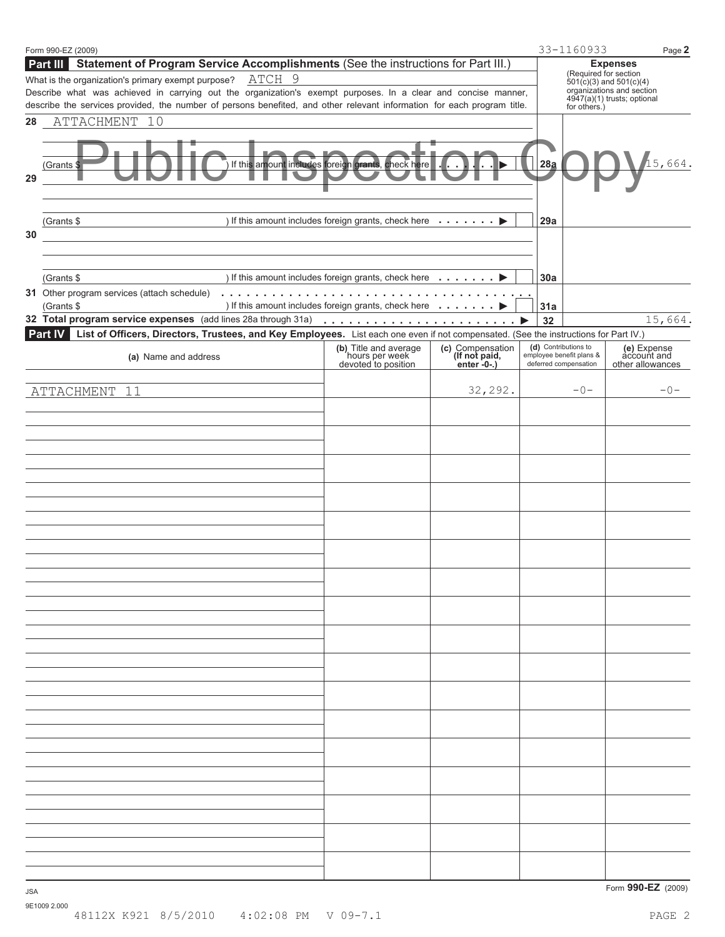|            | Form 990-EZ (2009)                                                                                                                                                                                                                       |                                                                              |                                                  |     | 33-1160933                                                                | Page 2                                                   |
|------------|------------------------------------------------------------------------------------------------------------------------------------------------------------------------------------------------------------------------------------------|------------------------------------------------------------------------------|--------------------------------------------------|-----|---------------------------------------------------------------------------|----------------------------------------------------------|
|            | Statement of Program Service Accomplishments (See the instructions for Part III.)<br>Part III                                                                                                                                            |                                                                              |                                                  |     |                                                                           | <b>Expenses</b>                                          |
|            | ATCH 9<br>What is the organization's primary exempt purpose?                                                                                                                                                                             |                                                                              |                                                  |     | (Required for section                                                     | $501(c)(3)$ and $501(c)(4)$                              |
|            | Describe what was achieved in carrying out the organization's exempt purposes. In a clear and concise manner,<br>describe the services provided, the number of persons benefited, and other relevant information for each program title. |                                                                              |                                                  |     |                                                                           | organizations and section<br>4947(a)(1) trusts; optional |
| 28         | ATTACHMENT 10                                                                                                                                                                                                                            |                                                                              |                                                  |     | for others.)                                                              |                                                          |
|            |                                                                                                                                                                                                                                          |                                                                              |                                                  |     |                                                                           |                                                          |
| 29         | (Grants \$                                                                                                                                                                                                                               | If this amount includes foreign grants, check here                           |                                                  | 28a |                                                                           | 15,664.                                                  |
|            | (Grants \$                                                                                                                                                                                                                               | ) If this amount includes foreign grants, check here                         |                                                  | 29a |                                                                           |                                                          |
| 30         |                                                                                                                                                                                                                                          |                                                                              |                                                  |     |                                                                           |                                                          |
|            |                                                                                                                                                                                                                                          |                                                                              |                                                  |     |                                                                           |                                                          |
|            |                                                                                                                                                                                                                                          |                                                                              |                                                  |     |                                                                           |                                                          |
|            | (Grants \$                                                                                                                                                                                                                               | ) If this amount includes foreign grants, check here $\dots \dots$           |                                                  | 30a |                                                                           |                                                          |
|            | (Grants \$                                                                                                                                                                                                                               | ) If this amount includes foreign grants, check here <b>intererent and D</b> |                                                  | 31a |                                                                           |                                                          |
|            |                                                                                                                                                                                                                                          |                                                                              |                                                  | 32  |                                                                           | 15,664.                                                  |
|            | List of Officers, Directors, Trustees, and Key Employees. List each one even if not compensated. (See the instructions for Part IV.)<br><b>Part IV</b>                                                                                   |                                                                              |                                                  |     |                                                                           |                                                          |
|            | (a) Name and address                                                                                                                                                                                                                     | (b) Title and average<br>hours per week<br>devoted to position               | (c) Compensation<br>(If not paid,<br>enter -0-.) |     | (d) Contributions to<br>employee benefit plans &<br>deferred compensation | (e) Expense<br>account and<br>other allowances           |
|            | ATTACHMENT<br>11                                                                                                                                                                                                                         |                                                                              | 32,292.                                          |     | $-0-$                                                                     | $-0-$                                                    |
|            |                                                                                                                                                                                                                                          |                                                                              |                                                  |     |                                                                           |                                                          |
|            |                                                                                                                                                                                                                                          |                                                                              |                                                  |     |                                                                           |                                                          |
|            |                                                                                                                                                                                                                                          |                                                                              |                                                  |     |                                                                           |                                                          |
|            |                                                                                                                                                                                                                                          |                                                                              |                                                  |     |                                                                           |                                                          |
|            |                                                                                                                                                                                                                                          |                                                                              |                                                  |     |                                                                           |                                                          |
|            |                                                                                                                                                                                                                                          |                                                                              |                                                  |     |                                                                           |                                                          |
|            |                                                                                                                                                                                                                                          |                                                                              |                                                  |     |                                                                           |                                                          |
|            |                                                                                                                                                                                                                                          |                                                                              |                                                  |     |                                                                           |                                                          |
|            |                                                                                                                                                                                                                                          |                                                                              |                                                  |     |                                                                           |                                                          |
|            |                                                                                                                                                                                                                                          |                                                                              |                                                  |     |                                                                           |                                                          |
|            |                                                                                                                                                                                                                                          |                                                                              |                                                  |     |                                                                           |                                                          |
|            |                                                                                                                                                                                                                                          |                                                                              |                                                  |     |                                                                           |                                                          |
|            |                                                                                                                                                                                                                                          |                                                                              |                                                  |     |                                                                           |                                                          |
|            |                                                                                                                                                                                                                                          |                                                                              |                                                  |     |                                                                           |                                                          |
|            |                                                                                                                                                                                                                                          |                                                                              |                                                  |     |                                                                           |                                                          |
|            |                                                                                                                                                                                                                                          |                                                                              |                                                  |     |                                                                           |                                                          |
|            |                                                                                                                                                                                                                                          |                                                                              |                                                  |     |                                                                           |                                                          |
|            |                                                                                                                                                                                                                                          |                                                                              |                                                  |     |                                                                           |                                                          |
|            |                                                                                                                                                                                                                                          |                                                                              |                                                  |     |                                                                           |                                                          |
|            |                                                                                                                                                                                                                                          |                                                                              |                                                  |     |                                                                           |                                                          |
|            |                                                                                                                                                                                                                                          |                                                                              |                                                  |     |                                                                           |                                                          |
|            |                                                                                                                                                                                                                                          |                                                                              |                                                  |     |                                                                           |                                                          |
|            |                                                                                                                                                                                                                                          |                                                                              |                                                  |     |                                                                           |                                                          |
|            |                                                                                                                                                                                                                                          |                                                                              |                                                  |     |                                                                           |                                                          |
|            |                                                                                                                                                                                                                                          |                                                                              |                                                  |     |                                                                           |                                                          |
|            |                                                                                                                                                                                                                                          |                                                                              |                                                  |     |                                                                           |                                                          |
|            |                                                                                                                                                                                                                                          |                                                                              |                                                  |     |                                                                           |                                                          |
|            |                                                                                                                                                                                                                                          |                                                                              |                                                  |     |                                                                           |                                                          |
| <b>JSA</b> |                                                                                                                                                                                                                                          |                                                                              |                                                  |     |                                                                           | Form 990-EZ (2009)                                       |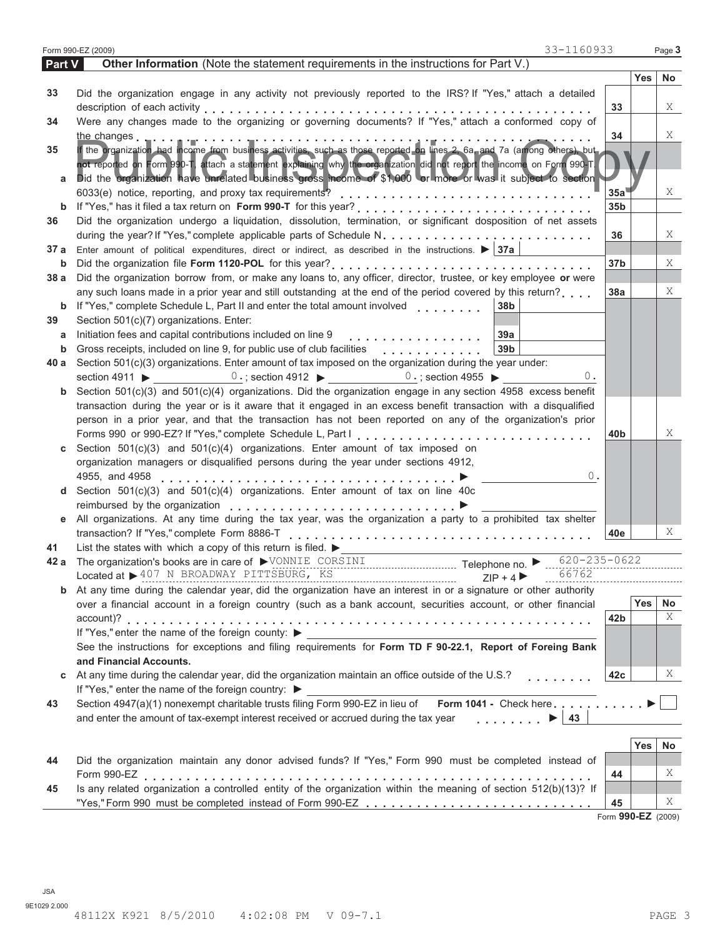|               | 33-1160933<br>Form 990-EZ (2009)                                                                                                |                 |            | Page 3 |
|---------------|---------------------------------------------------------------------------------------------------------------------------------|-----------------|------------|--------|
| <b>Part V</b> | Other Information (Note the statement requirements in the instructions for Part V.)                                             |                 |            |        |
|               |                                                                                                                                 |                 | Yes        | No     |
| 33            | Did the organization engage in any activity not previously reported to the IRS? If "Yes," attach a detailed                     |                 |            |        |
|               |                                                                                                                                 | 33              |            | X      |
| 34            | Were any changes made to the organizing or governing documents? If "Yes," attach a conformed copy of                            |                 |            |        |
|               | the changes<br>فهمل والمتحدث والمتحدث والمتحدث والمتحدث والمتحدث والمتحورة                                                      | 34              |            | X      |
| 35            | If the organization, had income from business activities, such as those reported on lines 2, 6a, and 7a (among others), but     |                 |            |        |
|               | not reported on Form 990-T, attach a statement explaining why the organization did not report the income on Form 990-T.         |                 |            |        |
| а             | Did the organization have unrelated business gross moome of \$1,000 or more or was it subject to section                        |                 |            |        |
|               |                                                                                                                                 | 35a             |            | X      |
| b             |                                                                                                                                 | 35 <sub>b</sub> |            |        |
| 36            | Did the organization undergo a liquidation, dissolution, termination, or significant dosposition of net assets                  |                 |            |        |
|               |                                                                                                                                 | 36              |            | X      |
| 37 a          | Enter amount of political expenditures, direct or indirect, as described in the instructions. $\blacktriangleright$ 37a         |                 |            |        |
| b             |                                                                                                                                 | 37 <sub>b</sub> |            | X      |
| 38 a          | Did the organization borrow from, or make any loans to, any officer, director, trustee, or key employee or were                 |                 |            | X      |
|               | any such loans made in a prior year and still outstanding at the end of the period covered by this return?<br>38b               | 38a             |            |        |
| b<br>39       | Section 501(c)(7) organizations. Enter:                                                                                         |                 |            |        |
| a             | Initiation fees and capital contributions included on line 9<br>39a                                                             |                 |            |        |
| b             | 39 <sub>b</sub><br>Gross receipts, included on line 9, for public use of club facilities                                        |                 |            |        |
| 40 a          | .<br>Section 501(c)(3) organizations. Enter amount of tax imposed on the organization during the year under:                    |                 |            |        |
|               | section 4911 $\blacktriangleright$<br>0.; section 4912 $\triangleright$ 0.; section 4955 $\triangleright$<br>Ο.                 |                 |            |        |
| b             | Section 501(c)(3) and 501(c)(4) organizations. Did the organization engage in any section 4958 excess benefit                   |                 |            |        |
|               | transaction during the year or is it aware that it engaged in an excess benefit transaction with a disqualified                 |                 |            |        |
|               | person in a prior year, and that the transaction has not been reported on any of the organization's prior                       |                 |            |        |
|               |                                                                                                                                 | 40b             |            | X      |
| С             | Section 501(c)(3) and 501(c)(4) organizations. Enter amount of tax imposed on                                                   |                 |            |        |
|               | organization managers or disqualified persons during the year under sections 4912,                                              |                 |            |        |
|               | 0.<br>4955, and 4958                                                                                                            |                 |            |        |
| d             | Section $501(c)(3)$ and $501(c)(4)$ organizations. Enter amount of tax on line 40c                                              |                 |            |        |
|               |                                                                                                                                 |                 |            |        |
| е             | All organizations. At any time during the tax year, was the organization a party to a prohibited tax shelter                    |                 |            |        |
|               |                                                                                                                                 | 40e             |            | Χ      |
| 41            | List the states with which a copy of this return is filed. $\blacktriangleright$                                                |                 |            |        |
| 42 a          | $620 - 235 - 0622$                                                                                                              |                 |            |        |
|               | 66762                                                                                                                           |                 |            |        |
| b             | At any time during the calendar year, did the organization have an interest in or a signature or other authority                |                 |            |        |
|               | over a financial account in a foreign country (such as a bank account, securities account, or other financial                   |                 | Yes        | No     |
|               |                                                                                                                                 | 42b             |            | X      |
|               | If "Yes," enter the name of the foreign county:                                                                                 |                 |            |        |
|               | See the instructions for exceptions and filing requirements for Form TD F 90-22.1, Report of Foreing Bank                       |                 |            |        |
|               | and Financial Accounts.                                                                                                         |                 |            |        |
| C             | At any time during the calendar year, did the organization maintain an office outside of the U.S.?                              | 42c             |            | Χ      |
|               | If "Yes," enter the name of the foreign country: ▶                                                                              |                 |            |        |
| 43            | Form 1041 - Check here<br>Section 4947(a)(1) nonexempt charitable trusts filing Form 990-EZ in lieu of                          |                 |            |        |
|               | and enter the amount of tax-exempt interest received or accrued during the tax year<br>$\ldots \ldots$ $\blacktriangleright$ 43 |                 |            |        |
|               |                                                                                                                                 |                 |            |        |
|               |                                                                                                                                 |                 | <b>Yes</b> | No     |
| 44            | Did the organization maintain any donor advised funds? If "Yes," Form 990 must be completed instead of                          |                 |            | X      |
|               | Is any related organization a controlled entity of the organization within the meaning of section 512(b)(13)? If                | 44              |            |        |
| 45            |                                                                                                                                 | 45              |            | X      |
|               |                                                                                                                                 |                 |            |        |

Form **990-EZ** (2009)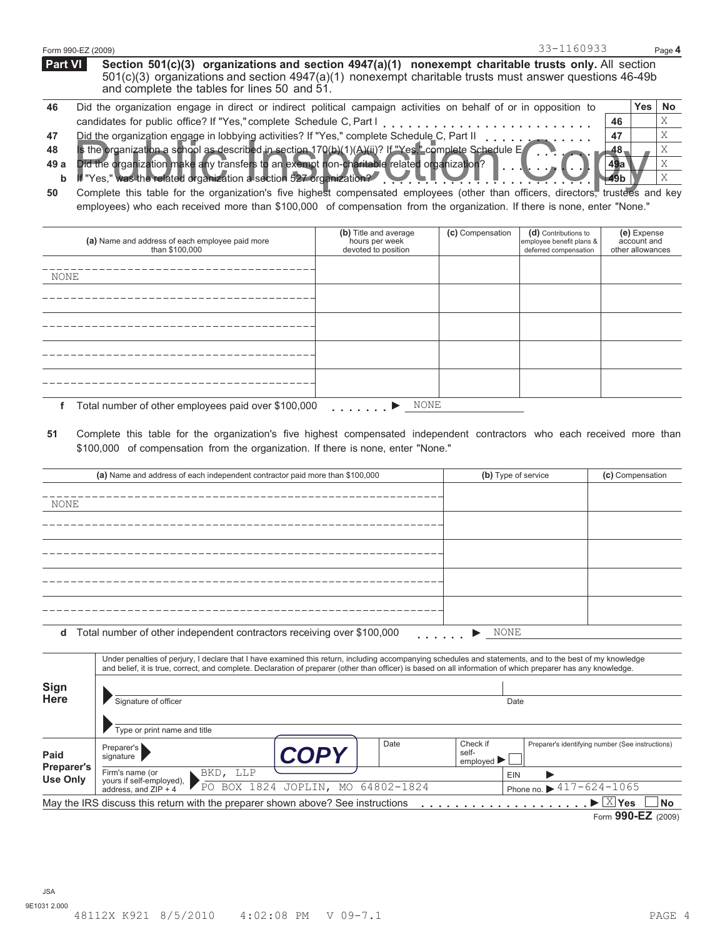|         | 33-1160933<br>Form 990-EZ (2009)                                                                                                                                                                                                                                      |    |          | Page 4 |
|---------|-----------------------------------------------------------------------------------------------------------------------------------------------------------------------------------------------------------------------------------------------------------------------|----|----------|--------|
| Part VI | Section 501(c)(3) organizations and section $4947(a)(1)$ nonexempt charitable trusts only. All section<br>$501(c)(3)$ organizations and section $4947(a)(1)$ nonexempt charitable trusts must answer questions 46-49b<br>and complete the tables for lines 50 and 51. |    |          |        |
| 46      | Did the organization engage in direct or indirect political campaign activities on behalf of or in opposition to                                                                                                                                                      |    | Yes   No |        |
|         | candidates for public office? If "Yes," complete Schedule C, Part   [[[[[[[[[[[[[[[[[[[[]]]]]]]]]                                                                                                                                                                     | 46 |          |        |

- **47** Did the organization engage in lobbying activities? If "Yes," complete Schedule C, Part II
- **48** candidates for public office? If "Yes," complete Schedule C, Part I<br>Did the organization engage in lobbying activities? If "Yes," complete Schedule C, Part II<br>Is the organization a school as described in section 170(b)(1)(
- 
- **49 a** Did the organization make any transfers to an exempt non-charitable related organization?<br>If "Yes," was the related organization a section 527 organization? If "Yes," was the related organization a section 527 organization? **b**
- **50** Is the organization a school as described in section 170(b)(1)(A)(ii)? If "Yes" complete Schedule E<br>Did the organization make any transfers to an exempt non-charitable related organization?<br>If "Yes," was the related organi Complete this table for the organization's five highest compensated employees (other than officers, directors, trustees and key employees) who each received more than \$100,000 of compensation from the organization. If there is none, enter "None."

| (a) Name and address of each employee paid more<br>than \$100,000 | (b) Title and average<br>hours per week<br>devoted to position | (c) Compensation | (d) Contributions to<br>employee benefit plans &<br>deferred compensation | (e) Expense<br>account and<br>other allowances |
|-------------------------------------------------------------------|----------------------------------------------------------------|------------------|---------------------------------------------------------------------------|------------------------------------------------|
| NONE                                                              |                                                                |                  |                                                                           |                                                |
|                                                                   |                                                                |                  |                                                                           |                                                |
|                                                                   |                                                                |                  |                                                                           |                                                |
|                                                                   |                                                                |                  |                                                                           |                                                |
|                                                                   |                                                                |                  |                                                                           |                                                |
| Total number of other employees paid over \$100,000               | NONE<br>▶<br>and a strain and                                  |                  |                                                                           |                                                |

**51** Complete this table for the organization's five highest compensated independent contractors who each received more than \$100,000 of compensation from the organization. If there is none, enter "None."

|                                      | (a) Name and address of each independent contractor paid more than \$100,000                                                                                                                                                                                                                                             | (b) Type of service                                        | (c) Compensation                                          |
|--------------------------------------|--------------------------------------------------------------------------------------------------------------------------------------------------------------------------------------------------------------------------------------------------------------------------------------------------------------------------|------------------------------------------------------------|-----------------------------------------------------------|
| <b>NONE</b>                          |                                                                                                                                                                                                                                                                                                                          |                                                            |                                                           |
|                                      |                                                                                                                                                                                                                                                                                                                          |                                                            |                                                           |
|                                      |                                                                                                                                                                                                                                                                                                                          |                                                            |                                                           |
|                                      |                                                                                                                                                                                                                                                                                                                          |                                                            |                                                           |
|                                      |                                                                                                                                                                                                                                                                                                                          |                                                            |                                                           |
| d                                    | Total number of other independent contractors receiving over \$100,000                                                                                                                                                                                                                                                   | NONE                                                       |                                                           |
|                                      | Under penalties of perjury, I declare that I have examined this return, including accompanying schedules and statements, and to the best of my knowledge<br>and belief, it is true, correct, and complete. Declaration of preparer (other than officer) is based on all information of which preparer has any knowledge. |                                                            |                                                           |
| Sign<br><b>Here</b>                  |                                                                                                                                                                                                                                                                                                                          |                                                            |                                                           |
|                                      | Signature of officer                                                                                                                                                                                                                                                                                                     | Date                                                       |                                                           |
| Paid                                 | Type or print name and title<br>Date<br>Preparer's<br><b>COPY</b><br>signature                                                                                                                                                                                                                                           | Check if<br>self-<br>employed $\blacktriangleright$        | Preparer's identifying number (See instructions)          |
| <b>Preparer's</b><br><b>Use Only</b> | BKD, LLP<br>Firm's name (or<br>yours if self-employed),<br>address, and ZIP + 4<br>PO BOX 1824 JOPLIN, MO 64802-1824                                                                                                                                                                                                     | <b>EIN</b><br>ь<br>Phone no. $\triangleright$ 417-624-1065 |                                                           |
|                                      | May the IRS discuss this return with the preparer shown above? See instructions                                                                                                                                                                                                                                          | .                                                          | $\blacktriangleright \boxed{\mathbb{X}}$ Yes<br><b>No</b> |
|                                      |                                                                                                                                                                                                                                                                                                                          |                                                            | Form 990-EZ (2009)                                        |

JSA

**47 48 49a 49b**  X X X X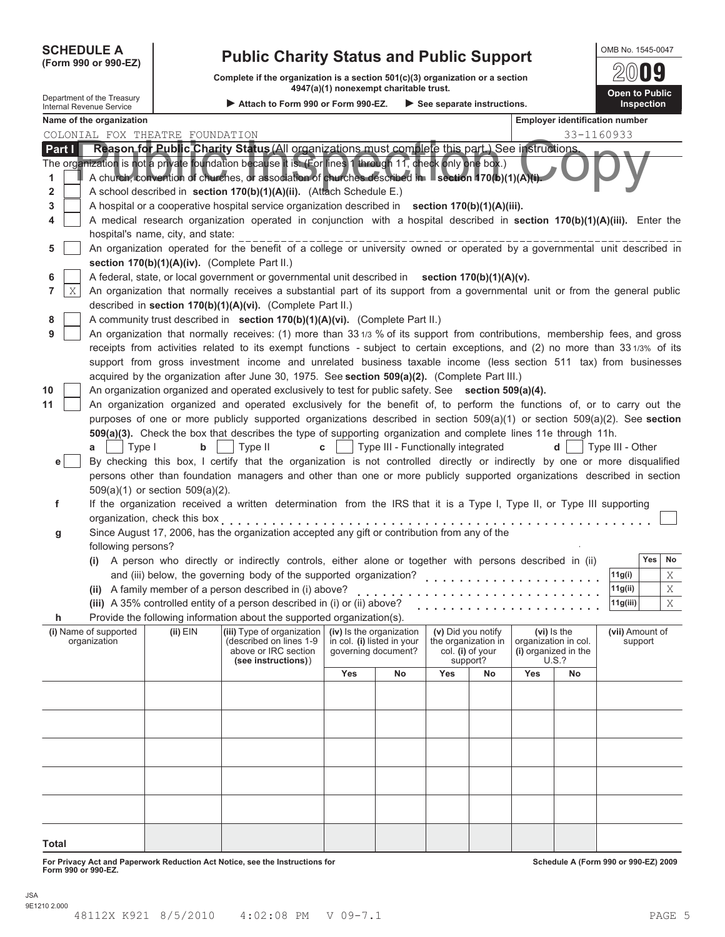| <b>SCHEDULE A</b> |  |
|-------------------|--|
|                   |  |

# **SCHEDULE A Public Charity Status and Public Support COMB No. 1545-0047 (Form 990 or 990-EZ)**

**Complete if the organization is a section 501(c)(3) organization or a section 4947(a)(1) nonexempt charitable trust. Department of the Treasury Open to Public 1999**<br> **Department of the Treasury** 

|                                                               |                                               |                                                                                                                                                                                                                                                                                         | 4947(a)(1) nonexempt charitable trust. |                                                                               |                                             |                              |     |                                                                             | Open to Public                        |
|---------------------------------------------------------------|-----------------------------------------------|-----------------------------------------------------------------------------------------------------------------------------------------------------------------------------------------------------------------------------------------------------------------------------------------|----------------------------------------|-------------------------------------------------------------------------------|---------------------------------------------|------------------------------|-----|-----------------------------------------------------------------------------|---------------------------------------|
| Department of the Treasury<br><b>Internal Revenue Service</b> |                                               | Attach to Form 990 or Form 990-EZ.                                                                                                                                                                                                                                                      |                                        |                                                                               | $\triangleright$ See separate instructions. |                              |     |                                                                             | Inspection                            |
| Name of the organization                                      |                                               |                                                                                                                                                                                                                                                                                         |                                        |                                                                               |                                             |                              |     |                                                                             | <b>Employer identification number</b> |
| COLONIAL FOX THEATRE FOUNDATION                               |                                               |                                                                                                                                                                                                                                                                                         |                                        |                                                                               |                                             |                              |     |                                                                             | 33-1160933                            |
| Part I                                                        |                                               | Reason for Public Charity Status (All organizations must complete this part.) See instructions.                                                                                                                                                                                         |                                        |                                                                               |                                             |                              |     |                                                                             |                                       |
| 1<br>2                                                        |                                               | The organization is not a private foundation because it is. (For lines 1 through 11, check only one box.)<br>A church, convention of churches, or association of churches described in Section 170(b)(1)(A)(i).<br>A school described in section 170(b)(1)(A)(ii). (Attach Schedule E.) |                                        |                                                                               |                                             |                              |     |                                                                             |                                       |
| 3                                                             |                                               | A hospital or a cooperative hospital service organization described in section 170(b)(1)(A)(iii).                                                                                                                                                                                       |                                        |                                                                               |                                             |                              |     |                                                                             |                                       |
| 4                                                             | hospital's name, city, and state:             | A medical research organization operated in conjunction with a hospital described in section 170(b)(1)(A)(iii). Enter the                                                                                                                                                               |                                        |                                                                               |                                             |                              |     |                                                                             |                                       |
| 5                                                             |                                               | An organization operated for the benefit of a college or university owned or operated by a governmental unit described in                                                                                                                                                               |                                        |                                                                               |                                             |                              |     |                                                                             |                                       |
|                                                               | section 170(b)(1)(A)(iv). (Complete Part II.) |                                                                                                                                                                                                                                                                                         |                                        |                                                                               |                                             |                              |     |                                                                             |                                       |
| 6                                                             |                                               | A federal, state, or local government or governmental unit described in section 170(b)(1)(A)(v).                                                                                                                                                                                        |                                        |                                                                               |                                             |                              |     |                                                                             |                                       |
| Χ<br>7                                                        |                                               | An organization that normally receives a substantial part of its support from a governmental unit or from the general public                                                                                                                                                            |                                        |                                                                               |                                             |                              |     |                                                                             |                                       |
|                                                               |                                               | described in section 170(b)(1)(A)(vi). (Complete Part II.)                                                                                                                                                                                                                              |                                        |                                                                               |                                             |                              |     |                                                                             |                                       |
| 8                                                             |                                               | A community trust described in section 170(b)(1)(A)(vi). (Complete Part II.)                                                                                                                                                                                                            |                                        |                                                                               |                                             |                              |     |                                                                             |                                       |
| 9                                                             |                                               | An organization that normally receives: (1) more than 331/3 % of its support from contributions, membership fees, and gross                                                                                                                                                             |                                        |                                                                               |                                             |                              |     |                                                                             |                                       |
|                                                               |                                               | receipts from activities related to its exempt functions - subject to certain exceptions, and (2) no more than 331/3% of its                                                                                                                                                            |                                        |                                                                               |                                             |                              |     |                                                                             |                                       |
|                                                               |                                               | support from gross investment income and unrelated business taxable income (less section 511 tax) from businesses                                                                                                                                                                       |                                        |                                                                               |                                             |                              |     |                                                                             |                                       |
|                                                               |                                               | acquired by the organization after June 30, 1975. See section 509(a)(2). (Complete Part III.)                                                                                                                                                                                           |                                        |                                                                               |                                             |                              |     |                                                                             |                                       |
| 10                                                            |                                               | An organization organized and operated exclusively to test for public safety. See section 509(a)(4).                                                                                                                                                                                    |                                        |                                                                               |                                             |                              |     |                                                                             |                                       |
| 11                                                            |                                               | An organization organized and operated exclusively for the benefit of, to perform the functions of, or to carry out the                                                                                                                                                                 |                                        |                                                                               |                                             |                              |     |                                                                             |                                       |
|                                                               |                                               | purposes of one or more publicly supported organizations described in section $509(a)(1)$ or section $509(a)(2)$ . See section                                                                                                                                                          |                                        |                                                                               |                                             |                              |     |                                                                             |                                       |
|                                                               |                                               | 509(a)(3). Check the box that describes the type of supporting organization and complete lines 11e through 11h.                                                                                                                                                                         |                                        |                                                                               |                                             |                              |     |                                                                             |                                       |
| a                                                             | Type I<br>b                                   | Type II                                                                                                                                                                                                                                                                                 | $\mathbf{c}$                           | Type III - Functionally integrated                                            |                                             |                              |     | d                                                                           | Type III - Other                      |
| e <sub>1</sub>                                                |                                               | By checking this box, I certify that the organization is not controlled directly or indirectly by one or more disqualified                                                                                                                                                              |                                        |                                                                               |                                             |                              |     |                                                                             |                                       |
|                                                               |                                               | persons other than foundation managers and other than one or more publicly supported organizations described in section                                                                                                                                                                 |                                        |                                                                               |                                             |                              |     |                                                                             |                                       |
|                                                               | $509(a)(1)$ or section $509(a)(2)$ .          |                                                                                                                                                                                                                                                                                         |                                        |                                                                               |                                             |                              |     |                                                                             |                                       |
| f                                                             |                                               | If the organization received a written determination from the IRS that it is a Type I, Type II, or Type III supporting                                                                                                                                                                  |                                        |                                                                               |                                             |                              |     |                                                                             |                                       |
|                                                               | organization, check this box                  |                                                                                                                                                                                                                                                                                         |                                        |                                                                               |                                             |                              |     |                                                                             |                                       |
| g                                                             |                                               | Since August 17, 2006, has the organization accepted any gift or contribution from any of the                                                                                                                                                                                           |                                        |                                                                               |                                             |                              |     |                                                                             |                                       |
| following persons?                                            |                                               |                                                                                                                                                                                                                                                                                         |                                        |                                                                               |                                             |                              |     |                                                                             |                                       |
|                                                               |                                               | (i) A person who directly or indirectly controls, either alone or together with persons described in (ii)                                                                                                                                                                               |                                        |                                                                               |                                             |                              |     |                                                                             | Yes<br>No                             |
|                                                               |                                               | and (iii) below, the governing body of the supported organization?                                                                                                                                                                                                                      |                                        |                                                                               |                                             |                              |     |                                                                             | 11g(i)<br>Χ                           |
|                                                               |                                               | (ii) A family member of a person described in (i) above?                                                                                                                                                                                                                                |                                        |                                                                               |                                             |                              |     |                                                                             | 11g(ii)<br>Χ                          |
|                                                               |                                               | (iii) A 35% controlled entity of a person described in (i) or (ii) above?                                                                                                                                                                                                               |                                        |                                                                               |                                             |                              |     |                                                                             | 11g(iii)<br>X                         |
|                                                               |                                               | Provide the following information about the supported organization(s).                                                                                                                                                                                                                  |                                        |                                                                               |                                             |                              |     |                                                                             |                                       |
| (i) Name of supported<br>organization                         | $(ii)$ $EIN$                                  | (iii) Type of organization<br>(described on lines 1-9<br>above or IRC section<br>(see instructions))                                                                                                                                                                                    |                                        | (iv) Is the organization<br>in col. (i) listed in your<br>qoverning document? | (v) Did you notify<br>the organization in   | col. (i) of your<br>support? |     | (vi) Is the<br>organization in col.<br>(i) organized in the<br><b>U.S.?</b> | (vii) Amount of<br>support            |
|                                                               |                                               |                                                                                                                                                                                                                                                                                         | Yes                                    | No                                                                            | Yes                                         | No                           | Yes | No                                                                          |                                       |
|                                                               |                                               |                                                                                                                                                                                                                                                                                         |                                        |                                                                               |                                             |                              |     |                                                                             |                                       |
|                                                               |                                               |                                                                                                                                                                                                                                                                                         |                                        |                                                                               |                                             |                              |     |                                                                             |                                       |
|                                                               |                                               |                                                                                                                                                                                                                                                                                         |                                        |                                                                               |                                             |                              |     |                                                                             |                                       |
|                                                               |                                               |                                                                                                                                                                                                                                                                                         |                                        |                                                                               |                                             |                              |     |                                                                             |                                       |
|                                                               |                                               |                                                                                                                                                                                                                                                                                         |                                        |                                                                               |                                             |                              |     |                                                                             |                                       |
|                                                               |                                               |                                                                                                                                                                                                                                                                                         |                                        |                                                                               |                                             |                              |     |                                                                             |                                       |
|                                                               |                                               |                                                                                                                                                                                                                                                                                         |                                        |                                                                               |                                             |                              |     |                                                                             |                                       |
|                                                               |                                               |                                                                                                                                                                                                                                                                                         |                                        |                                                                               |                                             |                              |     |                                                                             |                                       |
|                                                               |                                               |                                                                                                                                                                                                                                                                                         |                                        |                                                                               |                                             |                              |     |                                                                             |                                       |

**Total**

**For Privacy Act and Paperwork Reduction Act Notice, see the Instructions for Form 990 or 990-EZ.**

**Schedule A (Form 990 or 990-EZ) 2009**

 $200$ 09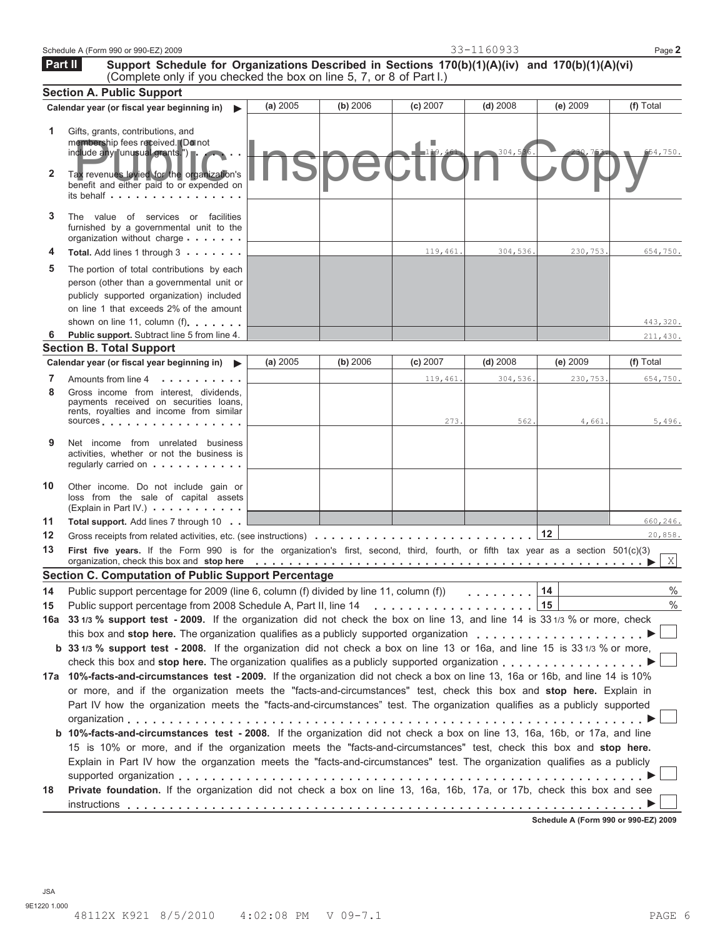|         | Schedule A (Form 990 or 990-EZ) 2009                                                                                                                                                                                                                             |          |          |                       | 33-1160933            |          | Page 2               |
|---------|------------------------------------------------------------------------------------------------------------------------------------------------------------------------------------------------------------------------------------------------------------------|----------|----------|-----------------------|-----------------------|----------|----------------------|
| Part II | Support Schedule for Organizations Described in Sections 170(b)(1)(A)(iv) and 170(b)(1)(A)(vi)<br>(Complete only if you checked the box on line 5, 7, or 8 of Part I.)                                                                                           |          |          |                       |                       |          |                      |
|         | <b>Section A. Public Support</b>                                                                                                                                                                                                                                 |          |          |                       |                       |          |                      |
|         | Calendar year (or fiscal year beginning in)                                                                                                                                                                                                                      | (a) 2005 | (b) 2006 | $(c)$ 2007            | $(d)$ 2008            | (e) 2009 | (f) Total            |
| 1<br>2  | Gifts, grants, contributions, and<br>membership fees received. (Do not<br>include any "unusual grants.")<br>Tax revenues levied for the organization's<br>benefit and either paid to or expended on<br>its behalf $\cdots$ , $\cdots$ , $\cdots$                 |          |          | $-1\overline{19,461}$ | 304,536.              |          | 654,750.             |
| 3       | The value of services or facilities<br>furnished by a governmental unit to the<br>organization without charge                                                                                                                                                    |          |          |                       |                       |          |                      |
| 4       | Total. Add lines 1 through 3                                                                                                                                                                                                                                     |          |          | 119,461.              | 304,536.              | 230,753. | 654,750.             |
| 5<br>6  | The portion of total contributions by each<br>person (other than a governmental unit or<br>publicly supported organization) included<br>on line 1 that exceeds 2% of the amount<br>shown on line 11, column (f).<br>Public support. Subtract line 5 from line 4. |          |          |                       |                       |          | 443,320.<br>211,430. |
|         | <b>Section B. Total Support</b>                                                                                                                                                                                                                                  |          |          |                       |                       |          |                      |
|         | Calendar year (or fiscal year beginning in)                                                                                                                                                                                                                      | (a) 2005 | (b) 2006 | $(c)$ 2007            | $(d)$ 2008            | (e) 2009 | (f) Total            |
| 7       | Amounts from line 4                                                                                                                                                                                                                                              |          |          | 119,461.              | 304,536.              | 230,753. | 654,750.             |
| 8       | Gross income from interest, dividends,<br>payments received on securities loans,<br>rents, royalties and income from similar<br>sources entering the state of the state of the state of the state of the state of the state of the state of the                  |          |          | 273.                  | 562.                  | 4,661.   | 5,496.               |
| 9       | Net income from unrelated business<br>activities, whether or not the business is<br>regularly carried on                                                                                                                                                         |          |          |                       |                       |          |                      |
| 10      | Other income. Do not include gain or<br>loss from the sale of capital assets<br>(Explain in Part IV.)                                                                                                                                                            |          |          |                       |                       |          |                      |
| 11      | <b>Total support.</b> Add lines 7 through 10                                                                                                                                                                                                                     |          |          |                       |                       |          | 660,246.             |
| 12      |                                                                                                                                                                                                                                                                  |          |          |                       |                       | 12       | 20,858.              |
| 13      | First five years. If the Form 990 is for the organization's first, second, third, fourth, or fifth tax year as a section 501(c)(3)                                                                                                                               |          |          |                       |                       |          | X                    |
|         | Section C. Computation of Public Support Percentage                                                                                                                                                                                                              |          |          |                       |                       |          |                      |
| 14      | Public support percentage for 2009 (line 6, column (f) divided by line 11, column (f))                                                                                                                                                                           |          |          |                       | and a straightful and | 14       | $\%$                 |
| 15      | Public support percentage from 2008 Schedule A, Part II, line 14                                                                                                                                                                                                 |          |          |                       |                       | 15       | $\%$                 |
| 16а     | 33 1/3 % support test - 2009. If the organization did not check the box on line 13, and line 14 is 33 1/3 % or more, check                                                                                                                                       |          |          |                       |                       |          |                      |
|         | this box and stop here. The organization qualifies as a publicly supported organization                                                                                                                                                                          |          |          |                       |                       |          |                      |
|         | b 33 1/3 % support test - 2008. If the organization did not check a box on line 13 or 16a, and line 15 is 33 1/3 % or more,<br>check this box and stop here. The organization qualifies as a publicly supported organization $\dots \dots \dots \dots$           |          |          |                       |                       |          |                      |
|         | 17a 10%-facts-and-circumstances test - 2009. If the organization did not check a box on line 13, 16a or 16b, and line 14 is 10%                                                                                                                                  |          |          |                       |                       |          |                      |
|         | or more, and if the organization meets the "facts-and-circumstances" test, check this box and stop here. Explain in                                                                                                                                              |          |          |                       |                       |          |                      |
|         | Part IV how the organization meets the "facts-and-circumstances" test. The organization qualifies as a publicly supported                                                                                                                                        |          |          |                       |                       |          |                      |
|         |                                                                                                                                                                                                                                                                  |          |          |                       |                       |          |                      |
|         | <b>b 10%-facts-and-circumstances test - 2008.</b> If the organization did not check a box on line 13, 16a, 16b, or 17a, and line                                                                                                                                 |          |          |                       |                       |          |                      |
|         | 15 is 10% or more, and if the organization meets the "facts-and-circumstances" test, check this box and stop here.                                                                                                                                               |          |          |                       |                       |          |                      |
|         | Explain in Part IV how the organzation meets the "facts-and-circumstances" test. The organization qualifies as a publicly                                                                                                                                        |          |          |                       |                       |          |                      |
|         |                                                                                                                                                                                                                                                                  |          |          |                       |                       |          |                      |
| 18      | Private foundation. If the organization did not check a box on line 13, 16a, 16b, 17a, or 17b, check this box and see                                                                                                                                            |          |          |                       |                       |          |                      |
|         |                                                                                                                                                                                                                                                                  |          |          |                       |                       |          |                      |

**Schedule A (Form 990 or 990-EZ) 2009**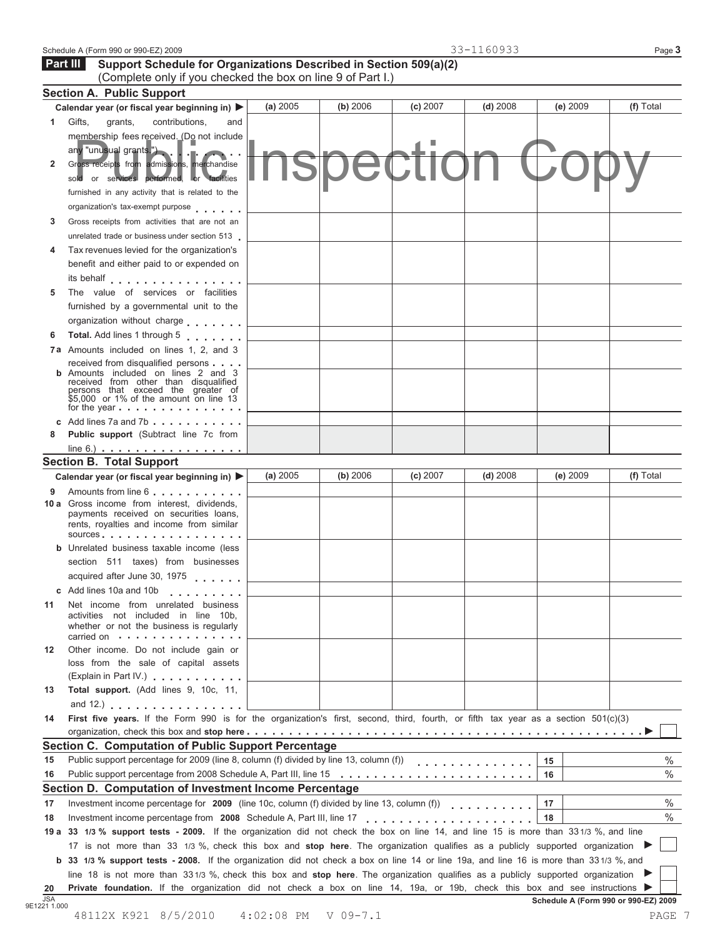| Schedule A (Form 990 or 990-EZ) 2009 |
|--------------------------------------|
|--------------------------------------|

#### Schedule A (Form 990 or 990-EZ) 2009 Page **3 Support Schedule for Organizations Described in Section 509(a)(2)** (Complete only if you checked the box on line 9 of Part I.)  **Part III Section A. Public Support Calendar year (or fiscal year beginning in) (a)**  $2005$  **(b)**  $2006$  **(c)**  $2007$  **(d)**  $2008$  **(e)**  $2009$  **(f)**  $Total$  **1** Gifts, grants, contributions, and contributions, membership fees received. (Do not include any "unusual grants.") **2** Gross receipts from admissions, merchandise sold or services performed, or facilities furnished in any activity that is related to the organization's tax-exempt purpose . . . . . . **3** Gross receipts from activities that are not an unrelated trade or business under section 513 **4** Tax revenues levied for the organization's benefit and either paid to or expended on its behalf . . . . . . . . . . . . . . . . **5** The value of services or facilities furnished by a governmental unit to the organization without charge **6** Total. Add lines 1 through 5 . . . . . . . **7a** Amounts included on lines 1, 2, and 3 received from disqualified persons **b** Amounts included on lines 2 and 3 received from other than disqualified persons that exceed the greater of \$5,000 or 1% of the amount on line 13 for the year **c** Add lines 7a and 7b **c c** Add lines 7a and 7b **c c c** Add lines 7a and 7b **c 8 Public support** (Subtract line 7c from<br>line 6.) **. . . . . . . . . . . . . . . . .** . . **Section B. Total Support Calendar year (or fiscal year beginning in) (a)** <sup>2005</sup> **(b)** <sup>2006</sup> **(c)** <sup>2007</sup> **(d)** <sup>2008</sup> **(e)** <sup>2009</sup> **(f)** Total **<sup>9</sup>** Amounts from line 6 **10 a** Gross income from interest, dividends, payments received on securities loans, payments received on securities foams,<br>rents, royalties and income from similar<br>sources **b** Unrelated business taxable income (less section 511 taxes) from businesses acquired after June 30, 1975 **<sup>c</sup>** Add lines 10a and 10b **11** Net income from unrelated business activities not included in line 10b, activities not included in line 10b,<br>whether or not the business is regularly<br>carried on with the content of the state of **12** Other income. Do not include gain or loss from the sale of capital assets (Explain in Part IV.) **13 Total support.** (Add lines 9, 10c, 11, and 12.) **.** . . . . . . . . . . . . . . . . **14 First five years.** If the Form 990 is for the organization's first, second, third, fourth, or fifth tax year as a section 501(c)(3) organization, check this box and **stop here Section C. Computation of Public Support Percentage 15 16** Public support percentage for 2009 (line 8, column (f) divided by line 13, column (f)) i**on C. Computation of Public Support Percentage**<br>Public support percentage for 2009 (line 8, column (f) divided by line 13, column (f))<br>Public support percentage from 2008 Schedule A, Part III, line 15 **15 16 17 Section D. Computation of Investment Income Percentage 17** Investment income percentage for **2009** (line 10c, column (f) divided by line 13, column (f)) 33-1160933 ny "unusual grants.")<br>Proses receipts from admissions, herchandise<br>unished in any activity that is related to the

**18 18** 19 a 33 1/3 % support tests - 2009. If the organization did not check the box on line 14, and line 15 is more than 331/3 %, and line 17 is not more than 33 1/3 %, check this box and stop here. The organization qualifies a Investment income percentage from **2008** Schedule A, Part III, line 17

 $\frac{20}{\text{JSA}}$ <br>9E1221 1.000 **b 33 1/3 % support tests - 2008.** If the organization did not check a box on line 14 or line 19a, and line 16 is more than 331/3 %, and line 18 is not more than 331/3 %, check this box and **stop here**. The organization q Fivate foundation. If the organization did not check a box on line 14, 19a, or 19b, check this box and see instructions **Dependence 14, 19a** and see instructions **Schedule A (Form 990 or 990-EZ) 2009**<br>48112X K921 8/5/2010

% %

% %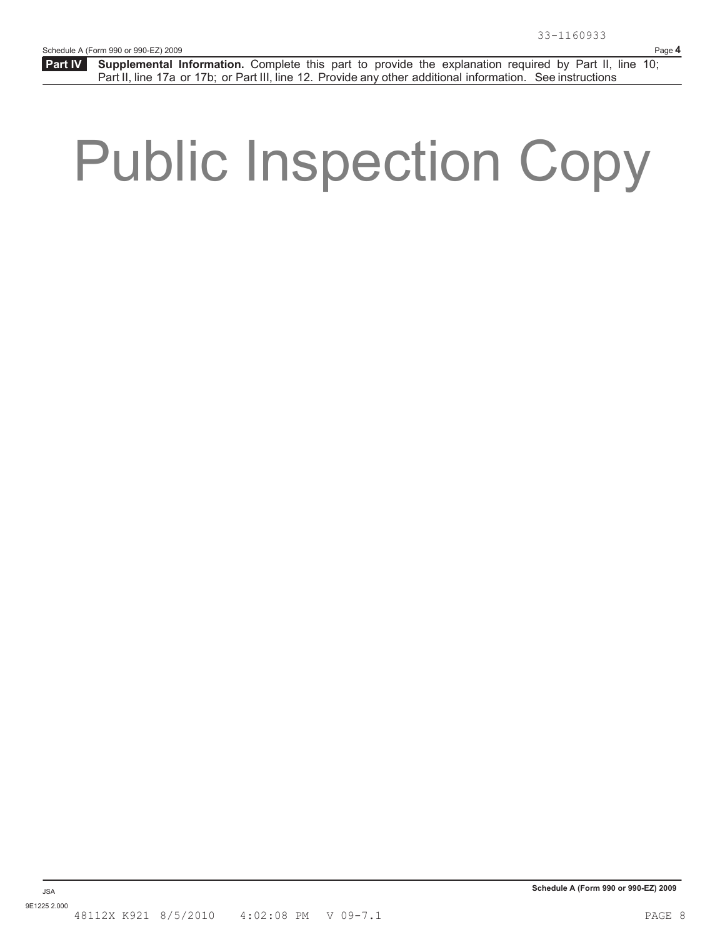# Public Inspection Copy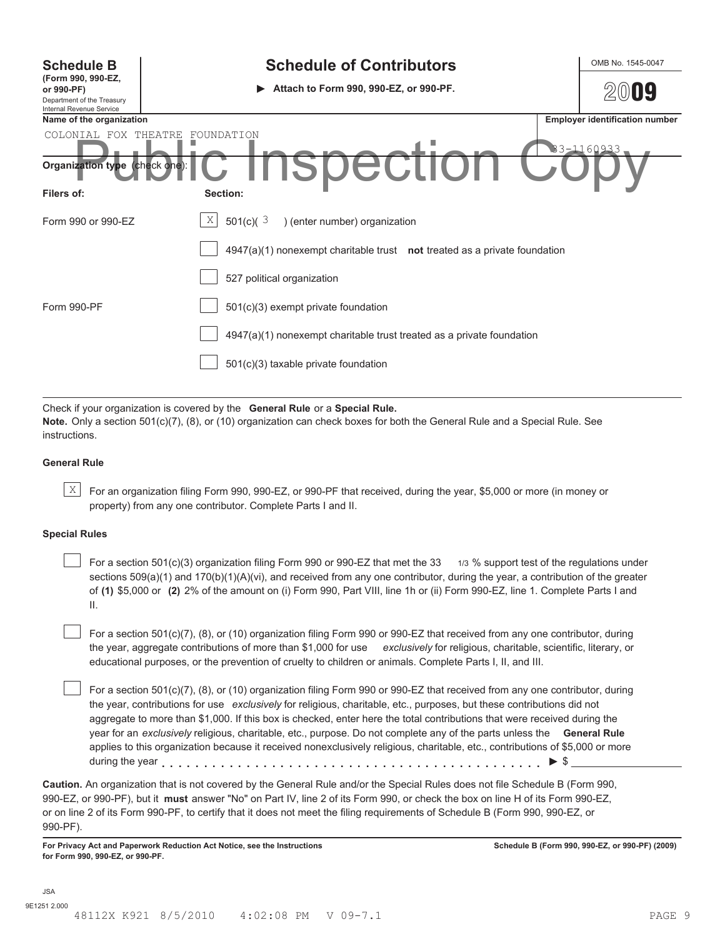| <b>Schedule B</b><br>(Form 990, 990-EZ,<br>or 990-PF)<br>Department of the Treasury<br>Internal Revenue Service | <b>Schedule of Contributors</b><br>Attach to Form 990, 990-EZ, or 990-PF.<br>$\blacktriangleright$ | OMB No. 1545-0047<br>IY               |
|-----------------------------------------------------------------------------------------------------------------|----------------------------------------------------------------------------------------------------|---------------------------------------|
| Name of the organization                                                                                        |                                                                                                    | <b>Employer identification number</b> |
| COLONIAL FOX THEATRE<br>Organization type (check one)                                                           | FOUNDATION<br>SUEI                                                                                 | 33-1160933                            |
| Filers of:                                                                                                      | Section:                                                                                           |                                       |
| Form 990 or 990-EZ                                                                                              | X<br>501(c)( $3$<br>) (enter number) organization                                                  |                                       |
|                                                                                                                 | $4947(a)(1)$ nonexempt charitable trust not treated as a private foundation                        |                                       |
|                                                                                                                 | 527 political organization                                                                         |                                       |
| Form 990-PF                                                                                                     | $501(c)(3)$ exempt private foundation                                                              |                                       |
|                                                                                                                 | 4947(a)(1) nonexempt charitable trust treated as a private foundation                              |                                       |
|                                                                                                                 | $501(c)(3)$ taxable private foundation                                                             |                                       |

Check if your organization is covered by the **General Rule** or a **Special Rule.**

**Note.** Only a section 501(c)(7), (8), or (10) organization can check boxes for both the General Rule and a Special Rule. See instructions.

#### **General Rule**

 $\mathbb{X}$  For an organization filing Form 990, 990-EZ, or 990-PF that received, during the year, \$5,000 or more (in money or property) from any one contributor. Complete Parts I and II.

#### **Special Rules**

For a section 501(c)(3) organization filing Form 990 or 990-EZ that met the 33 1/3 % support test of the regulations under sections 509(a)(1) and 170(b)(1)(A)(vi), and received from any one contributor, during the year, a contribution of the greater of **(1)** \$5,000 or **(2)** 2% of the amount on (i) Form 990, Part VIII, line 1h or (ii) Form 990-EZ, line 1. Complete Parts I and II.

For a section 501(c)(7), (8), or (10) organization filing Form 990 or 990-EZ that received from any one contributor, during the year, aggregate contributions of more than \$1,000 for use *exclusively* for religious, charitable, scientific, literary, or educational purposes, or the prevention of cruelty to children or animals. Complete Parts I, II, and III.

For a section 501(c)(7), (8), or (10) organization filing Form 990 or 990-EZ that received from any one contributor, during the year, contributions for use *exclusively* for religious, charitable, etc., purposes, but these contributions did not aggregate to more than \$1,000. If this box is checked, enter here the total contributions that were received during the year for an *exclusively* religious, charitable, etc., purpose. Do not complete any of the parts unless the **General Rule** applies to this organization because it received nonexclusively religious, charitable, etc., contributions of \$5,000 or more during the year  $\ldots$   $\ldots$   $\ldots$   $\ldots$   $\ldots$   $\ldots$   $\ldots$   $\ldots$   $\ldots$   $\ldots$   $\ldots$   $\ldots$   $\ldots$   $\vdots$ 

**Caution.** An organization that is not covered by the General Rule and/or the Special Rules does not file Schedule B (Form 990, 990-EZ, or 990-PF), but it **must** answer "No" on Part IV, line 2 of its Form 990, or check the box on line H of its Form 990-EZ, or on line 2 of its Form 990-PF, to certify that it does not meet the filing requirements of Schedule B (Form 990, 990-EZ, or 990-PF).

**For Privacy Act and Paperwork Reduction Act Notice, see the Instructions for Form 990, 990-EZ, or 990-PF.**

**Schedule B (Form 990, 990-EZ, or 990-PF) (2009)**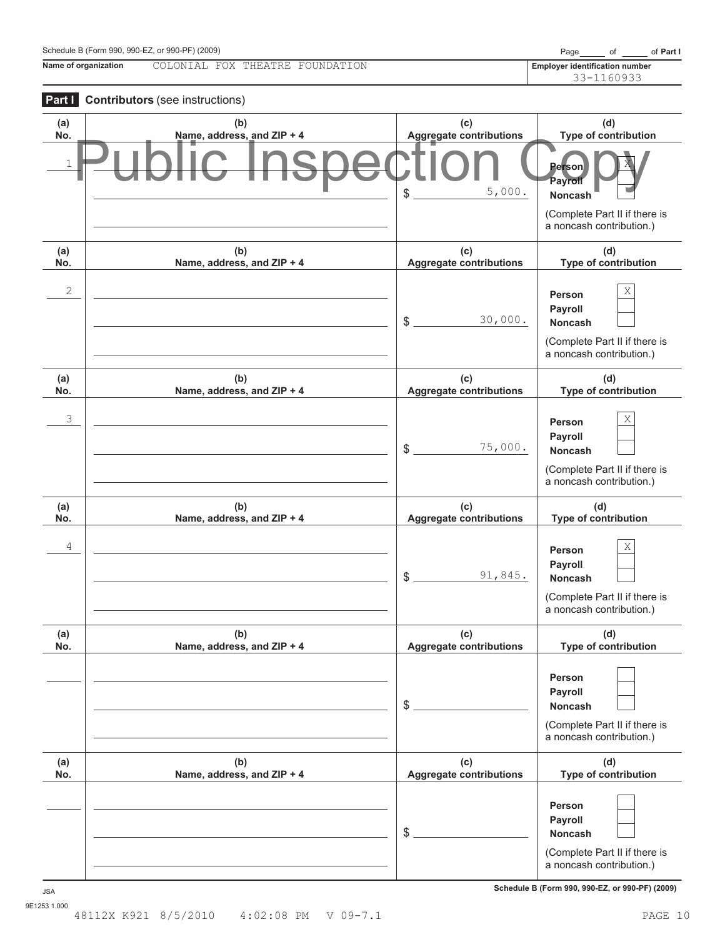| Schedule B (Form 990, 990-EZ, or 990-PF) (2009 |  |  |  |  |  |  |  |  |
|------------------------------------------------|--|--|--|--|--|--|--|--|
|------------------------------------------------|--|--|--|--|--|--|--|--|

**Name of organization Employer identification number** COLONIAL FOX THEATRE FOUNDATION

33-1160933

| Part I     | <b>Contributors</b> (see instructions) |                                       |                                                                                                |
|------------|----------------------------------------|---------------------------------------|------------------------------------------------------------------------------------------------|
| (a)<br>No. | (b)<br>Name, address, and ZIP + 4      | (c)<br>Aggregate contributions        | (d)<br>Type of contribution                                                                    |
| 1          |                                        | 5,000.<br>\$                          | Person<br>Payroll<br>Noncash                                                                   |
|            |                                        |                                       | (Complete Part II if there is<br>a noncash contribution.)                                      |
| (a)<br>No. | (b)<br>Name, address, and ZIP + 4      | (c)<br><b>Aggregate contributions</b> | (d)<br>Type of contribution                                                                    |
| 2          |                                        | 30,000.<br>\$                         | Χ<br>Person<br>Payroll<br>Noncash                                                              |
|            |                                        |                                       | (Complete Part II if there is<br>a noncash contribution.)                                      |
| (a)<br>No. | (b)<br>Name, address, and ZIP + 4      | (c)<br><b>Aggregate contributions</b> | (d)<br>Type of contribution                                                                    |
| 3          |                                        | 75,000.<br>$\frac{1}{2}$              | Χ<br>Person<br>Payroll<br>Noncash<br>(Complete Part II if there is<br>a noncash contribution.) |
| (a)<br>No. | (b)<br>Name, address, and ZIP + 4      | (c)<br><b>Aggregate contributions</b> | (d)<br>Type of contribution                                                                    |
| 4          |                                        | 91,845.<br>$\frac{1}{2}$              | Χ<br>Person<br>Payroll<br>Noncash<br>(Complete Part II if there is<br>a noncash contribution.) |
| (a)<br>No. | (b)<br>Name, address, and ZIP + 4      | (c)<br><b>Aggregate contributions</b> | (d)<br>Type of contribution                                                                    |
|            |                                        | \$                                    | Person<br>Payroll<br>Noncash<br>(Complete Part II if there is<br>a noncash contribution.)      |
| (a)<br>No. | (b)<br>Name, address, and ZIP + 4      | (c)<br><b>Aggregate contributions</b> | (d)<br>Type of contribution                                                                    |
|            |                                        | \$                                    | Person<br>Payroll<br>Noncash<br>(Complete Part II if there is<br>a noncash contribution.)      |

**Schedule B (Form 990, 990-EZ, or 990-PF) (2009)** JSA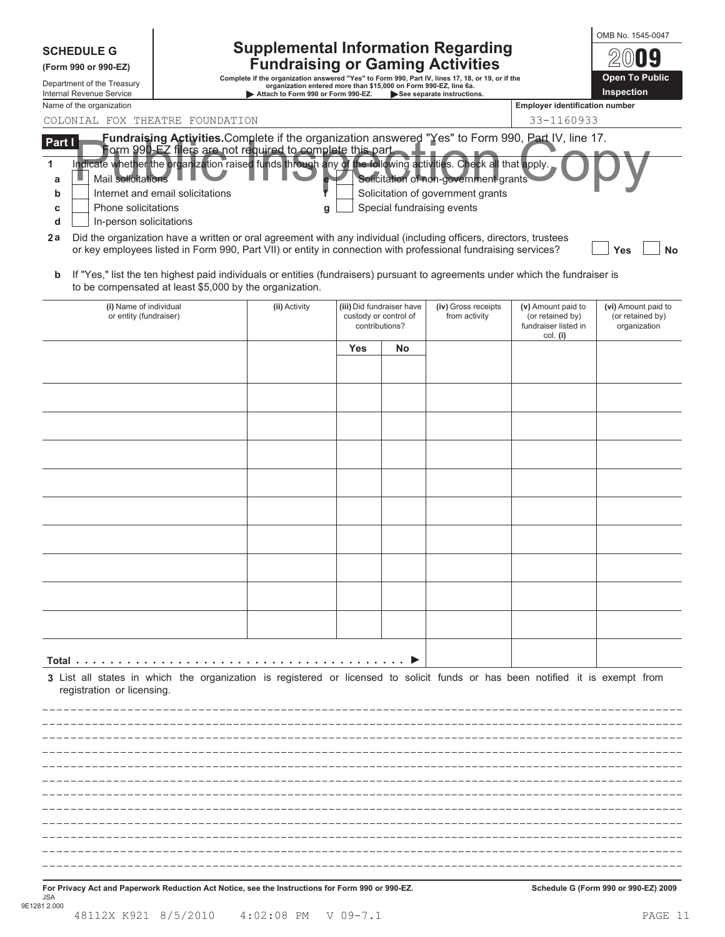| <b>SCHEDULE G</b><br>(Form 990 or 990-EZ)<br>Department of the Treasury<br><b>Internal Revenue Service</b>                                                  |                                                                                                                                                                                                                                                                                                                                                                                                                     | organization entered more than \$15,000 on Form 990-EZ, line 6a.<br>Attach to Form 990 or Form 990-EZ. |                                                                      | <b>Supplemental Information Regarding</b><br><b>Fundraising or Gaming Activities</b><br>Complete if the organization answered "Yes" to Form 990, Part IV, lines 17, 18, or 19, or if the<br>See separate instructions. |                                                                              | <b>Open To Public</b><br>Inspection                     |
|-------------------------------------------------------------------------------------------------------------------------------------------------------------|---------------------------------------------------------------------------------------------------------------------------------------------------------------------------------------------------------------------------------------------------------------------------------------------------------------------------------------------------------------------------------------------------------------------|--------------------------------------------------------------------------------------------------------|----------------------------------------------------------------------|------------------------------------------------------------------------------------------------------------------------------------------------------------------------------------------------------------------------|------------------------------------------------------------------------------|---------------------------------------------------------|
| Name of the organization                                                                                                                                    |                                                                                                                                                                                                                                                                                                                                                                                                                     |                                                                                                        |                                                                      |                                                                                                                                                                                                                        | <b>Employer identification number</b>                                        |                                                         |
| COLONIAL FOX THEATRE FOUNDATION<br>Part I                                                                                                                   | Fundraising Activities.Complete if the organization answered "Yes" to Form 990, Part IV, line 17.                                                                                                                                                                                                                                                                                                                   |                                                                                                        |                                                                      |                                                                                                                                                                                                                        | 33-1160933                                                                   |                                                         |
| 1<br>Mail solicitations<br>a<br>Internet and email solicitations<br>b<br>Phone solicitations<br>C<br>In-person solicitations<br>d<br>2a                     | Form 990-EZ filers are not required to complete this part.<br>Indicate whether the organization raised funds through any of the following activities. Check all that apply.<br>Did the organization have a written or oral agreement with any individual (including officers, directors, trustees<br>or key employees listed in Form 990, Part VII) or entity in connection with professional fundraising services? | g                                                                                                      |                                                                      | Solicitation of non-government grants<br>Solicitation of government grants<br>Special fundraising events                                                                                                               |                                                                              | Yes<br>No                                               |
| b                                                                                                                                                           | If "Yes," list the ten highest paid individuals or entities (fundraisers) pursuant to agreements under which the fundraiser is<br>to be compensated at least \$5,000 by the organization.                                                                                                                                                                                                                           |                                                                                                        |                                                                      |                                                                                                                                                                                                                        |                                                                              |                                                         |
| (i) Name of individual<br>or entity (fundraiser)                                                                                                            | (ii) Activity                                                                                                                                                                                                                                                                                                                                                                                                       |                                                                                                        | (iii) Did fundraiser have<br>custody or control of<br>contributions? | (iv) Gross receipts<br>from activity                                                                                                                                                                                   | (v) Amount paid to<br>(or retained by)<br>fundraiser listed in<br>$col.$ (i) | (vi) Amount paid to<br>(or retained by)<br>organization |
|                                                                                                                                                             |                                                                                                                                                                                                                                                                                                                                                                                                                     | Yes                                                                                                    | No                                                                   |                                                                                                                                                                                                                        |                                                                              |                                                         |
|                                                                                                                                                             |                                                                                                                                                                                                                                                                                                                                                                                                                     |                                                                                                        |                                                                      |                                                                                                                                                                                                                        |                                                                              |                                                         |
|                                                                                                                                                             |                                                                                                                                                                                                                                                                                                                                                                                                                     |                                                                                                        |                                                                      |                                                                                                                                                                                                                        |                                                                              |                                                         |
|                                                                                                                                                             |                                                                                                                                                                                                                                                                                                                                                                                                                     |                                                                                                        |                                                                      |                                                                                                                                                                                                                        |                                                                              |                                                         |
|                                                                                                                                                             |                                                                                                                                                                                                                                                                                                                                                                                                                     |                                                                                                        |                                                                      |                                                                                                                                                                                                                        |                                                                              |                                                         |
|                                                                                                                                                             |                                                                                                                                                                                                                                                                                                                                                                                                                     |                                                                                                        |                                                                      |                                                                                                                                                                                                                        |                                                                              |                                                         |
|                                                                                                                                                             |                                                                                                                                                                                                                                                                                                                                                                                                                     |                                                                                                        |                                                                      |                                                                                                                                                                                                                        |                                                                              |                                                         |
|                                                                                                                                                             |                                                                                                                                                                                                                                                                                                                                                                                                                     |                                                                                                        |                                                                      |                                                                                                                                                                                                                        |                                                                              |                                                         |
|                                                                                                                                                             |                                                                                                                                                                                                                                                                                                                                                                                                                     |                                                                                                        |                                                                      |                                                                                                                                                                                                                        |                                                                              |                                                         |
|                                                                                                                                                             |                                                                                                                                                                                                                                                                                                                                                                                                                     |                                                                                                        |                                                                      |                                                                                                                                                                                                                        |                                                                              |                                                         |
|                                                                                                                                                             |                                                                                                                                                                                                                                                                                                                                                                                                                     |                                                                                                        |                                                                      |                                                                                                                                                                                                                        |                                                                              |                                                         |
|                                                                                                                                                             |                                                                                                                                                                                                                                                                                                                                                                                                                     |                                                                                                        |                                                                      |                                                                                                                                                                                                                        |                                                                              |                                                         |
|                                                                                                                                                             |                                                                                                                                                                                                                                                                                                                                                                                                                     |                                                                                                        |                                                                      |                                                                                                                                                                                                                        |                                                                              |                                                         |
|                                                                                                                                                             |                                                                                                                                                                                                                                                                                                                                                                                                                     |                                                                                                        |                                                                      |                                                                                                                                                                                                                        |                                                                              |                                                         |
| 3 List all states in which the organization is registered or licensed to solicit funds or has been notified it is exempt from<br>registration or licensing. |                                                                                                                                                                                                                                                                                                                                                                                                                     |                                                                                                        |                                                                      |                                                                                                                                                                                                                        |                                                                              |                                                         |
|                                                                                                                                                             |                                                                                                                                                                                                                                                                                                                                                                                                                     |                                                                                                        |                                                                      |                                                                                                                                                                                                                        |                                                                              |                                                         |
|                                                                                                                                                             |                                                                                                                                                                                                                                                                                                                                                                                                                     |                                                                                                        |                                                                      |                                                                                                                                                                                                                        |                                                                              |                                                         |
|                                                                                                                                                             |                                                                                                                                                                                                                                                                                                                                                                                                                     |                                                                                                        |                                                                      |                                                                                                                                                                                                                        |                                                                              |                                                         |
|                                                                                                                                                             |                                                                                                                                                                                                                                                                                                                                                                                                                     |                                                                                                        |                                                                      |                                                                                                                                                                                                                        |                                                                              |                                                         |
|                                                                                                                                                             |                                                                                                                                                                                                                                                                                                                                                                                                                     |                                                                                                        |                                                                      |                                                                                                                                                                                                                        |                                                                              |                                                         |
|                                                                                                                                                             |                                                                                                                                                                                                                                                                                                                                                                                                                     |                                                                                                        |                                                                      |                                                                                                                                                                                                                        |                                                                              |                                                         |
|                                                                                                                                                             |                                                                                                                                                                                                                                                                                                                                                                                                                     |                                                                                                        |                                                                      |                                                                                                                                                                                                                        |                                                                              |                                                         |
|                                                                                                                                                             |                                                                                                                                                                                                                                                                                                                                                                                                                     |                                                                                                        |                                                                      |                                                                                                                                                                                                                        |                                                                              |                                                         |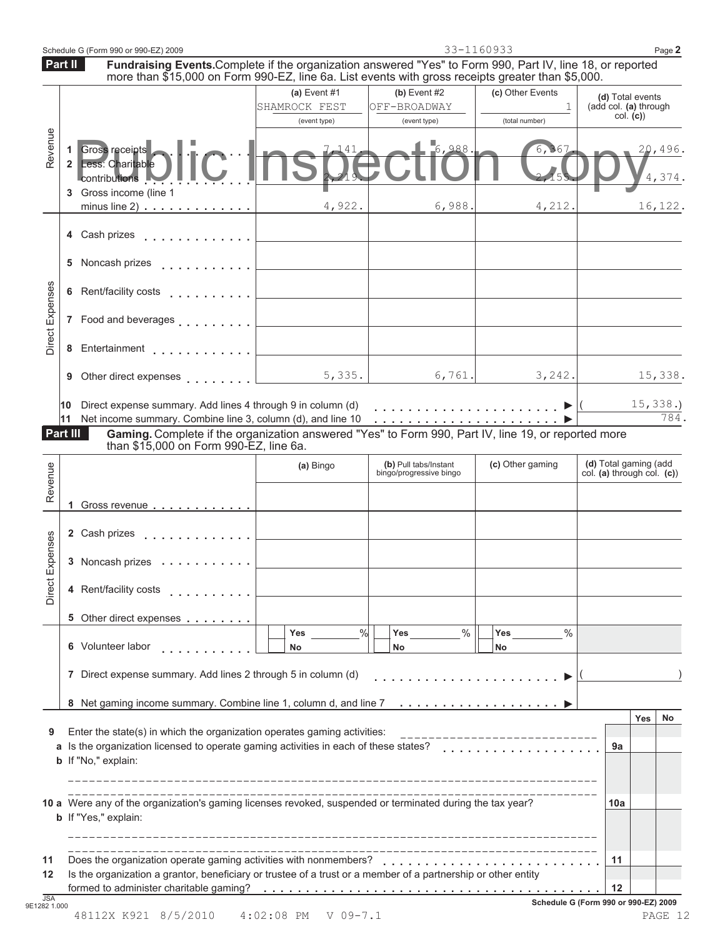|                                                                                                                                                                                                                           |                                               |                                                                                                                                                                                                                                                                                                                                                                                                                                                        | 33-1160933                         | Page 2                                                                                                        |
|---------------------------------------------------------------------------------------------------------------------------------------------------------------------------------------------------------------------------|-----------------------------------------------|--------------------------------------------------------------------------------------------------------------------------------------------------------------------------------------------------------------------------------------------------------------------------------------------------------------------------------------------------------------------------------------------------------------------------------------------------------|------------------------------------|---------------------------------------------------------------------------------------------------------------|
| Part II<br>Fundraising Events.Complete if the organization answered "Yes" to Form 990, Part IV, line 18, or reported<br>more than \$15,000 on Form 990-EZ, line 6a. List events with gross receipts greater than \$5,000. |                                               |                                                                                                                                                                                                                                                                                                                                                                                                                                                        |                                    |                                                                                                               |
|                                                                                                                                                                                                                           | (a) Event #1<br>SHAMROCK FEST<br>(event type) | $(b)$ Event #2<br>OFF-BROADWAY<br>(event type)                                                                                                                                                                                                                                                                                                                                                                                                         | (c) Other Events<br>(total number) | (d) Total events<br>(add col. (a) through<br>col. (c)                                                         |
| 1 Gross receipts<br>2 Less: Charitable<br>Contributions                                                                                                                                                                   |                                               | 6,988                                                                                                                                                                                                                                                                                                                                                                                                                                                  | 6,367                              | 20,496.<br>4,374.                                                                                             |
|                                                                                                                                                                                                                           | 4,922.                                        | 6,988.                                                                                                                                                                                                                                                                                                                                                                                                                                                 | 4,212.                             | 16,122.                                                                                                       |
| 4 Cash prizes                                                                                                                                                                                                             |                                               |                                                                                                                                                                                                                                                                                                                                                                                                                                                        |                                    |                                                                                                               |
| 5 Noncash prizes                                                                                                                                                                                                          |                                               |                                                                                                                                                                                                                                                                                                                                                                                                                                                        |                                    |                                                                                                               |
| 6 Rent/facility costs                                                                                                                                                                                                     |                                               |                                                                                                                                                                                                                                                                                                                                                                                                                                                        |                                    |                                                                                                               |
|                                                                                                                                                                                                                           |                                               |                                                                                                                                                                                                                                                                                                                                                                                                                                                        |                                    |                                                                                                               |
|                                                                                                                                                                                                                           |                                               |                                                                                                                                                                                                                                                                                                                                                                                                                                                        |                                    |                                                                                                               |
|                                                                                                                                                                                                                           | 5,335.                                        | 6,761.                                                                                                                                                                                                                                                                                                                                                                                                                                                 |                                    | 15,338.                                                                                                       |
| 10                                                                                                                                                                                                                        |                                               |                                                                                                                                                                                                                                                                                                                                                                                                                                                        |                                    | 15,338.<br>784                                                                                                |
| Part III                                                                                                                                                                                                                  |                                               |                                                                                                                                                                                                                                                                                                                                                                                                                                                        |                                    |                                                                                                               |
|                                                                                                                                                                                                                           | (a) Bingo                                     | (b) Pull tabs/Instant                                                                                                                                                                                                                                                                                                                                                                                                                                  | (c) Other gaming                   | (d) Total gaming (add<br>col. (a) through col. $(c)$                                                          |
| 1 Gross revenue                                                                                                                                                                                                           |                                               |                                                                                                                                                                                                                                                                                                                                                                                                                                                        |                                    |                                                                                                               |
| 2 Cash prizes                                                                                                                                                                                                             |                                               |                                                                                                                                                                                                                                                                                                                                                                                                                                                        |                                    |                                                                                                               |
|                                                                                                                                                                                                                           |                                               |                                                                                                                                                                                                                                                                                                                                                                                                                                                        |                                    |                                                                                                               |
| 4 Rent/facility costs                                                                                                                                                                                                     |                                               |                                                                                                                                                                                                                                                                                                                                                                                                                                                        |                                    |                                                                                                               |
| 5 Other direct expenses                                                                                                                                                                                                   |                                               |                                                                                                                                                                                                                                                                                                                                                                                                                                                        |                                    |                                                                                                               |
| 6 Volunteer labor                                                                                                                                                                                                         | Yes<br>No                                     | $\%$<br>Yes<br>No                                                                                                                                                                                                                                                                                                                                                                                                                                      | $\%$<br>Yes<br>No                  |                                                                                                               |
|                                                                                                                                                                                                                           |                                               |                                                                                                                                                                                                                                                                                                                                                                                                                                                        |                                    |                                                                                                               |
| 7 Direct expense summary. Add lines 2 through 5 in column (d)                                                                                                                                                             |                                               |                                                                                                                                                                                                                                                                                                                                                                                                                                                        |                                    |                                                                                                               |
|                                                                                                                                                                                                                           |                                               |                                                                                                                                                                                                                                                                                                                                                                                                                                                        |                                    |                                                                                                               |
| 8 Net gaming income summary. Combine line 1, column d, and line 7                                                                                                                                                         |                                               |                                                                                                                                                                                                                                                                                                                                                                                                                                                        |                                    | Yes                                                                                                           |
| Enter the state(s) in which the organization operates gaming activities:<br>Is the organization licensed to operate gaming activities in each of these states?<br>b If "No," explain:                                     |                                               |                                                                                                                                                                                                                                                                                                                                                                                                                                                        | __________________                 | 9а                                                                                                            |
| 10 a Were any of the organization's gaming licenses revoked, suspended or terminated during the tax year?<br>b If "Yes," explain:                                                                                         |                                               |                                                                                                                                                                                                                                                                                                                                                                                                                                                        |                                    | 10a                                                                                                           |
| Does the organization operate gaming activities with nonmembers?<br>Is the organization a grantor, beneficiary or trustee of a trust or a member of a partnership or other entity                                         |                                               |                                                                                                                                                                                                                                                                                                                                                                                                                                                        |                                    | No<br>11                                                                                                      |
|                                                                                                                                                                                                                           | 3 Gross income (line 1                        | minus line $2)$<br>.<br>a dia kaominina mpikambana amin'ny fivondronan-kaominin'i Andrew Communistra ao amin'ny fivondronan-kaominin'i<br>and a straightful and straight<br>7 Food and beverages<br>8 Entertainment<br>9 Other direct expenses [1]<br>Direct expense summary. Add lines 4 through 9 in column (d)<br>11 Net income summary. Combine line 3, column (d), and line 10<br>than \$15,000 on Form 990-EZ, line 6a.<br>.<br>3 Noncash prizes | bingo/progressive bingo<br>%       | 3,242.<br>Gaming. Complete if the organization answered "Yes" to Form 990, Part IV, line 19, or reported more |

<sup>48112</sup>X K921 8/5/2010 4:02:08 PM V 09-7.1 PAGE 12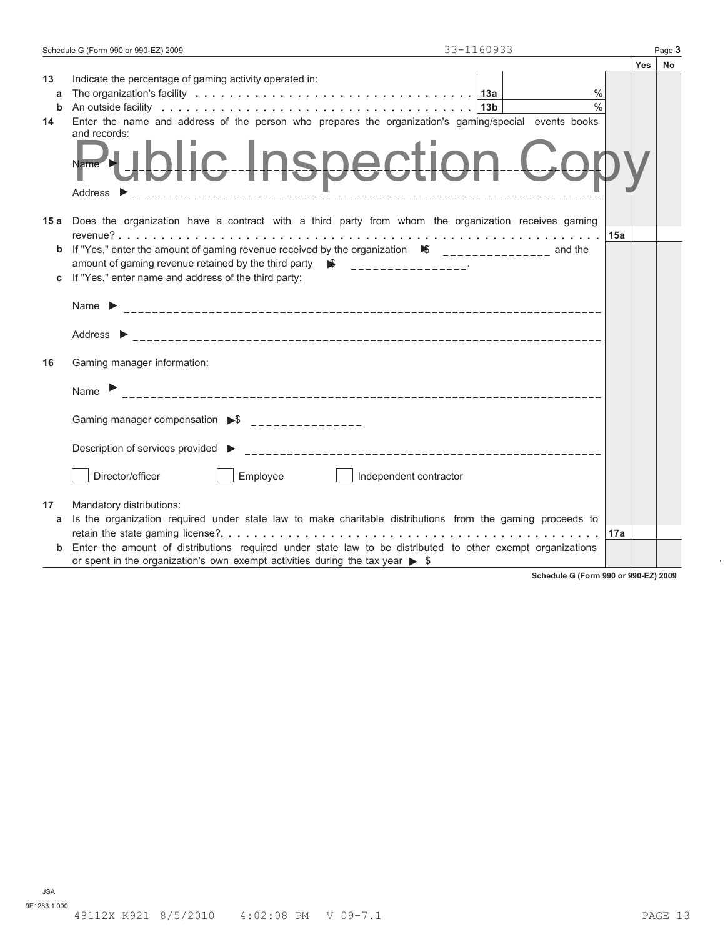| Schedule G (Form 990 or 990-EZ) 2009 |  | $P$ age, |
|--------------------------------------|--|----------|
|--------------------------------------|--|----------|

|                    |                                                                                                                                                                                                                                                                                |     | <b>Yes</b> | No |
|--------------------|--------------------------------------------------------------------------------------------------------------------------------------------------------------------------------------------------------------------------------------------------------------------------------|-----|------------|----|
| 13<br>a<br>b<br>14 | Indicate the percentage of gaming activity operated in:<br>$\frac{0}{0}$<br>$\frac{0}{0}$<br>13b<br>Enter the name and address of the person who prepares the organization's gaming/special events books<br>and records:<br>Public Inspection<br>Address $\blacktriangleright$ |     |            |    |
|                    | 15 a Does the organization have a contract with a third party from whom the organization receives gaming                                                                                                                                                                       |     |            |    |
| b                  | If "Yes," enter the amount of gaming revenue received by the organization $\bullet$ ______________ and the<br>amount of gaming revenue retained by the third party $\mathbf{w}$ ___________________                                                                            | 15a |            |    |
| c                  | If "Yes," enter name and address of the third party:                                                                                                                                                                                                                           |     |            |    |
| 16                 | Name $\blacktriangleright$<br>Address $\blacktriangleright$<br>Gaming manager information:                                                                                                                                                                                     |     |            |    |
|                    | Name $\blacktriangleright$                                                                                                                                                                                                                                                     |     |            |    |
|                    | Gaming manager compensation ▶ ऽ<br>Description of services provided ▶                                                                                                                                                                                                          |     |            |    |
|                    | Director/officer<br>Employee<br>Independent contractor                                                                                                                                                                                                                         |     |            |    |
| 17                 | Mandatory distributions:                                                                                                                                                                                                                                                       |     |            |    |
| a                  | Is the organization required under state law to make charitable distributions from the gaming proceeds to                                                                                                                                                                      |     |            |    |
|                    |                                                                                                                                                                                                                                                                                | 17a |            |    |
| b                  | Enter the amount of distributions required under state law to be distributed to other exempt organizations<br>or spent in the organization's own exempt activities during the tax year $\triangleright$ \$                                                                     |     |            |    |

**Schedule G (Form 990 or 990-EZ) 2009**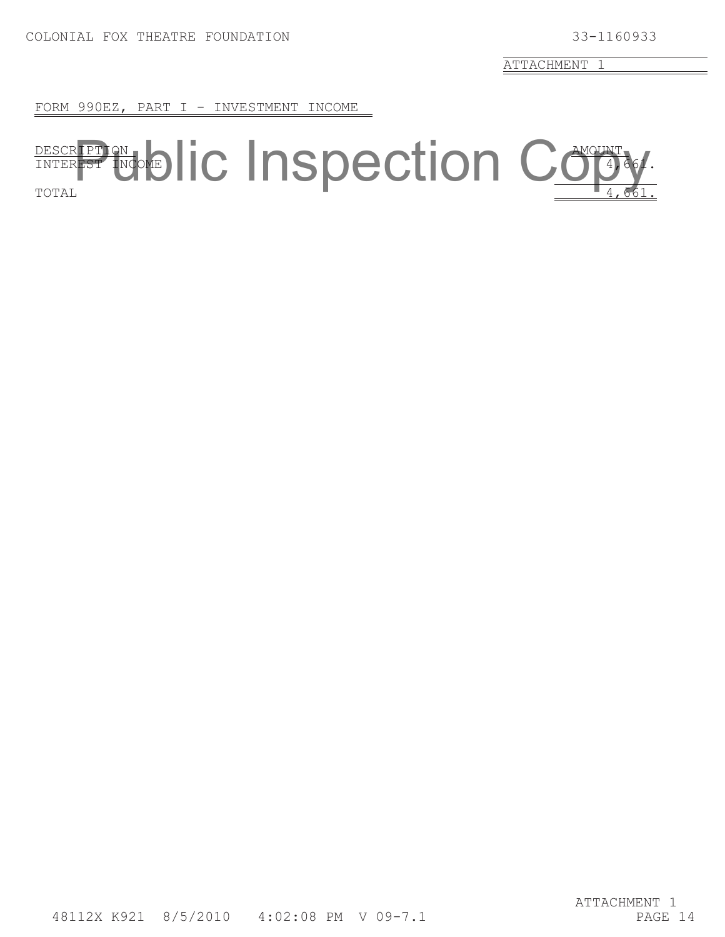FORM 990EZ, PART I - INVESTMENT INCOME

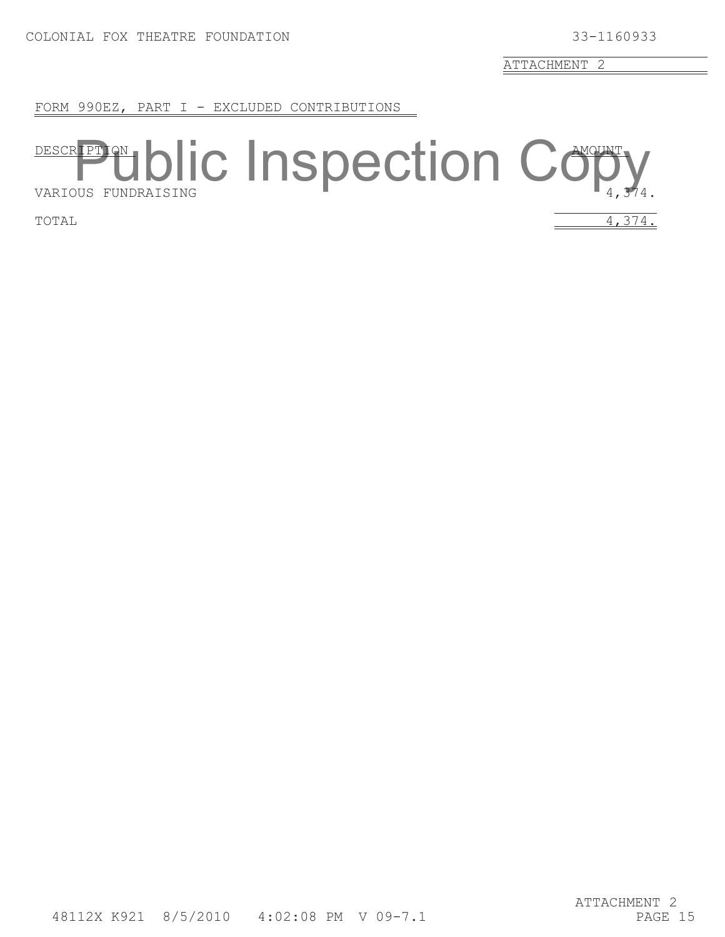FORM 990EZ, PART I - EXCLUDED CONTRIBUTIONS

# DESCRIPTION, AIR AMOUNT DESCRIPTION **blic** Inspection Copy

TOTAL  $4,374.$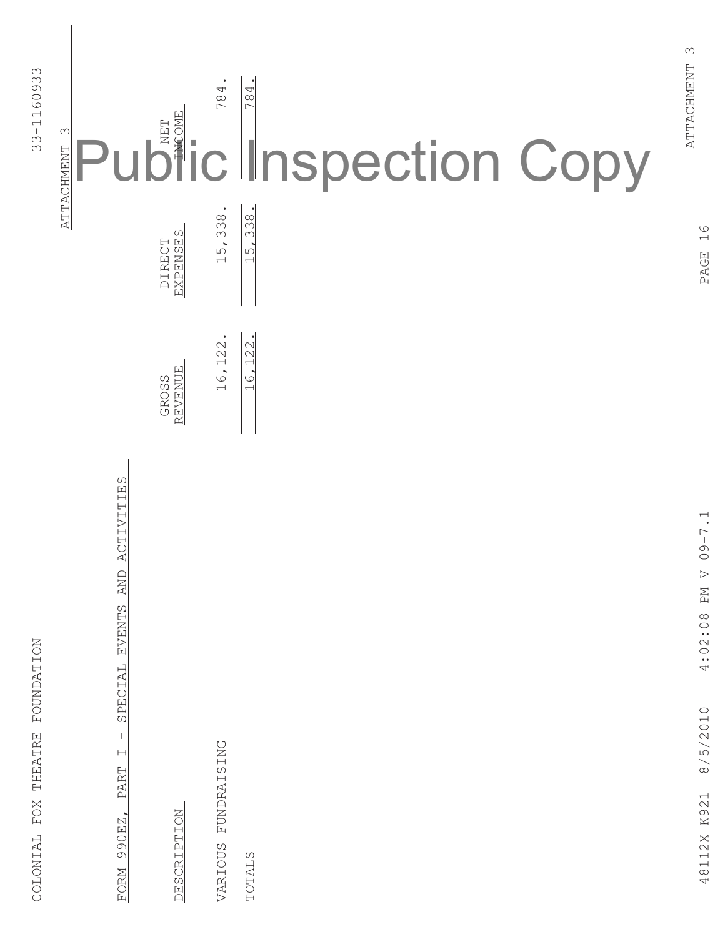| <b>FOUNDATION</b><br><b>THEATRE</b><br>$_{\rm FOX}$<br>COLONIAL |                               |                         |                              | 1160933<br>$33 -$                                                                                                                                                                                                                                                                                                                                                                                                                 |
|-----------------------------------------------------------------|-------------------------------|-------------------------|------------------------------|-----------------------------------------------------------------------------------------------------------------------------------------------------------------------------------------------------------------------------------------------------------------------------------------------------------------------------------------------------------------------------------------------------------------------------------|
|                                                                 |                               |                         |                              | $\infty$<br>ATTACHMENT                                                                                                                                                                                                                                                                                                                                                                                                            |
| SPECIAL<br>$\mathbf{I}$<br>$\vdash$<br>PART<br>990EZ,<br>FORM   | ACTIVITIES<br>AND<br>EVENTS   |                         |                              | U                                                                                                                                                                                                                                                                                                                                                                                                                                 |
| <b>DESCRIPTION</b>                                              |                               | <b>REVENUE</b><br>GROSS | <b>EXPENSES</b><br>DIRECT    | $\begin{array}{c}\n\sum_{i=1}^{n} \left( \sum_{i=1}^{n} a_i \right) \left( \sum_{i=1}^{n} a_i \right) \left( \sum_{i=1}^{n} a_i \right) \left( \sum_{i=1}^{n} a_i \right) \left( \sum_{i=1}^{n} a_i \right) \left( \sum_{i=1}^{n} a_i \right) \left( \sum_{i=1}^{n} a_i \right) \left( \sum_{i=1}^{n} a_i \right) \left( \sum_{i=1}^{n} a_i \right) \left( \sum_{i=1}^{n} a_i \right) \left( \sum_{i=1}^{n} a_i \right) \left( \$ |
| FUNDRAISING<br>VARIOUS                                          |                               | $\bullet$<br>122<br>16, | $\bullet$<br>15,338          | ٠<br>784                                                                                                                                                                                                                                                                                                                                                                                                                          |
| <b>TOTALS</b>                                                   |                               | 16, 122.                | 15,338.                      | 784.<br><b>Inspection Copy</b>                                                                                                                                                                                                                                                                                                                                                                                                    |
| 8/5/2010<br>48112X K921                                         | $09 - 7.1$<br>PM V<br>4:02:08 |                         | $\frac{6}{1}$<br><b>PAGE</b> | $\infty$<br>ATTACHMENT                                                                                                                                                                                                                                                                                                                                                                                                            |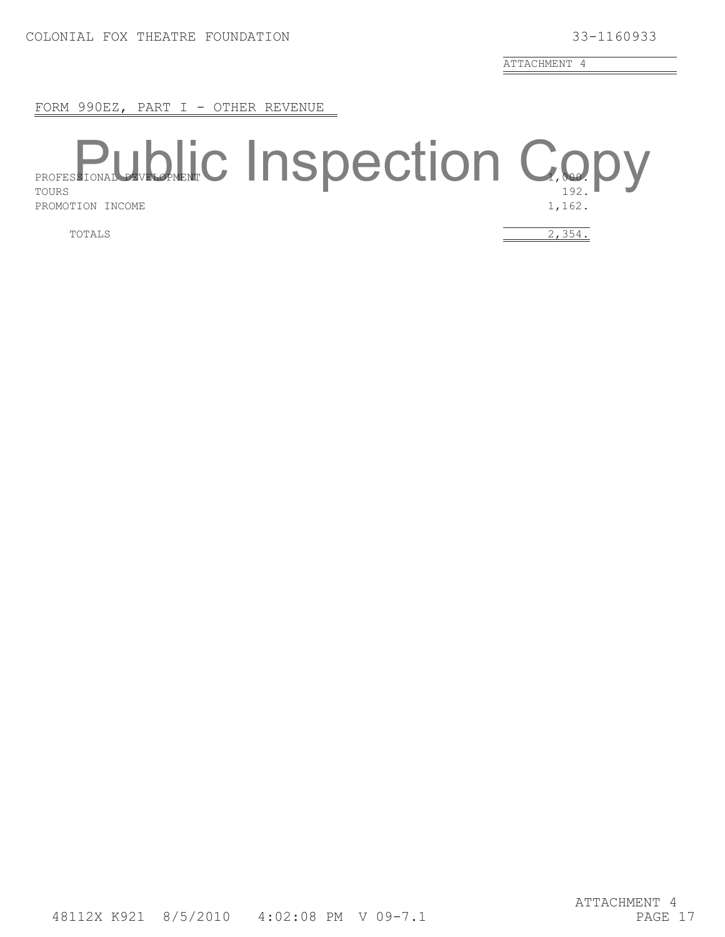FORM 990EZ, PART I - OTHER REVENUE

# PROFESSIONAL DEVELOPMENT 1110 PUUULIUI 1 **PROFESSIONAL DRUG INSpection Copy** PROMOTION INCOME 1,162.

TOTALS  $\overline{2,354}$ .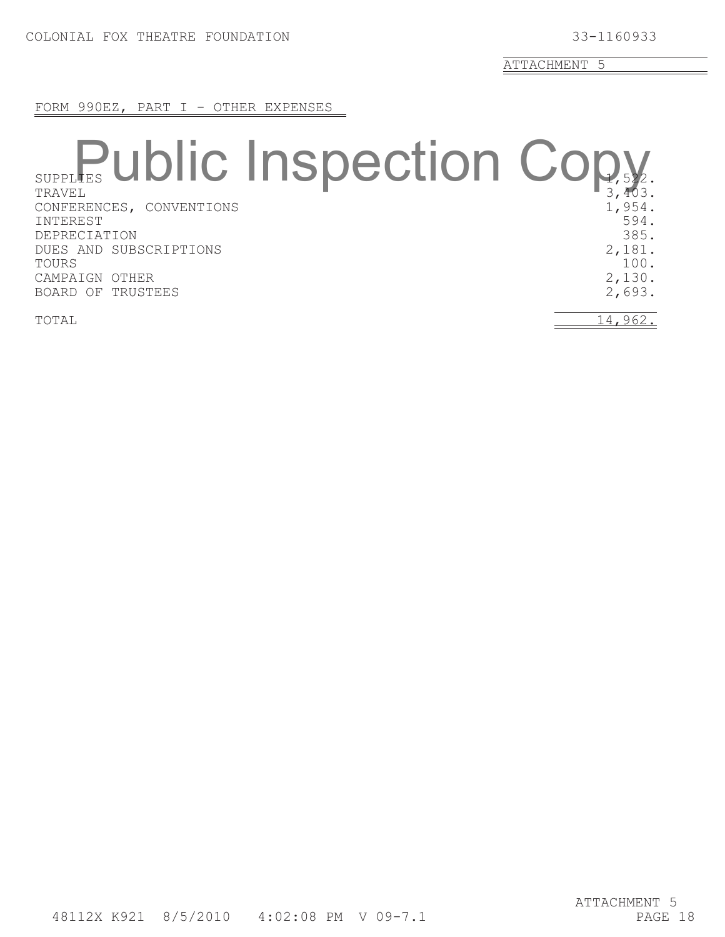FORM 990EZ, PART I - OTHER EXPENSES

### SUPPLIES GIVIIV IIIVPOUUUII VV $_{1,522}$ . SUPPLES Ublic Inspection Copy CONFERENCES, CONVENTIONS 1, 254. INTEREST 594. DEPRECIATION 385.<br>DUES AND SUBSCRIPTIONS 2.181. DUES AND SUBSCRIPTIONS  $\begin{array}{ccc} & 2,181. \\ & 100. \end{array}$ TOURS 100. CAMPAIGN OTHER 2,130.<br>BOARD OF TRUSTEES 2,130. BOARD OF TRUSTEES

TOTAL  $14,962.$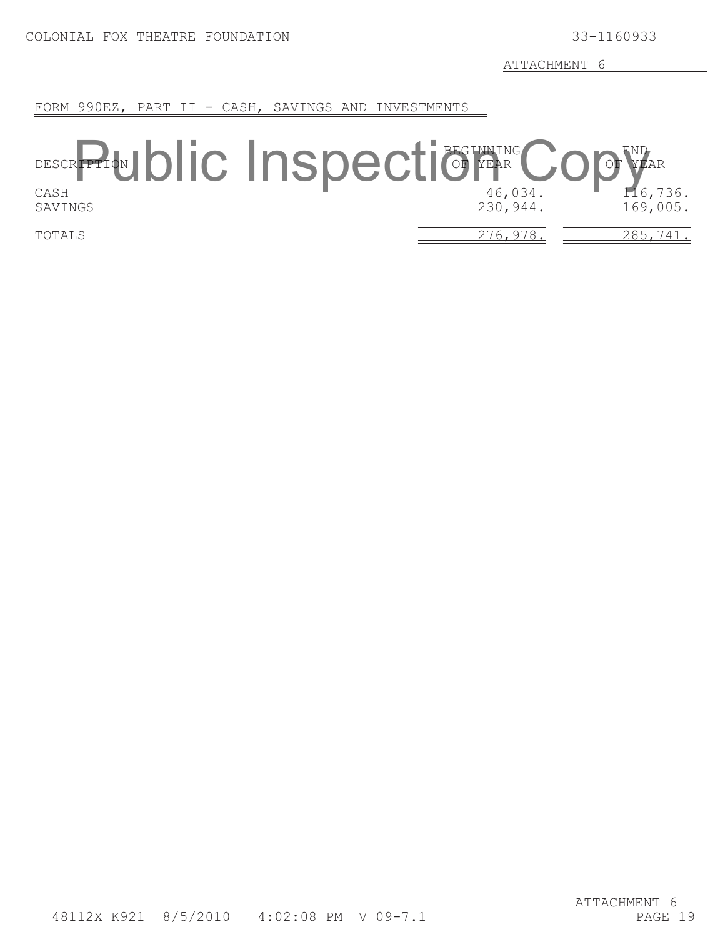FORM 990EZ, PART II - CASH, SAVINGS AND INVESTMENTS

## BEGINNING END DESCRIPTION OF YEAR OF YEAR DESCREPTION **DIC INSPECTIONER** COPYEAR SAVINGS 230,944. 169,005. TOTALS 276,978. 285,741.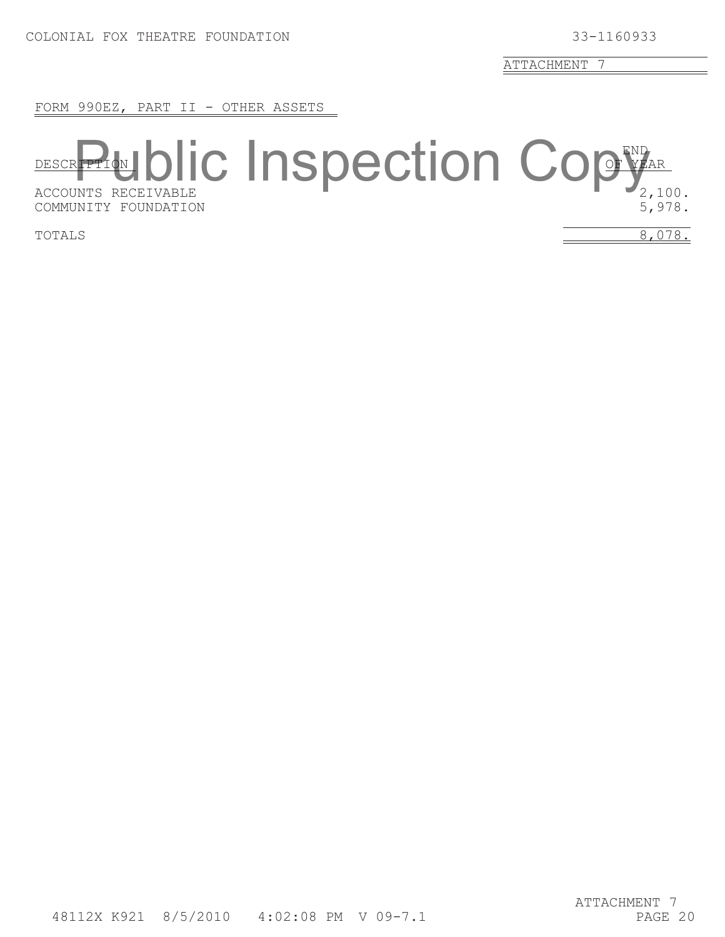FORM 990EZ, PART II - OTHER ASSETS

## END DESCRIPTION OF YEAR DESCR**PTION DIC INSPECTION COPY**AR COMMUNITY FOUNDATION 5, 5, 578.

TOTALS  $8,078.$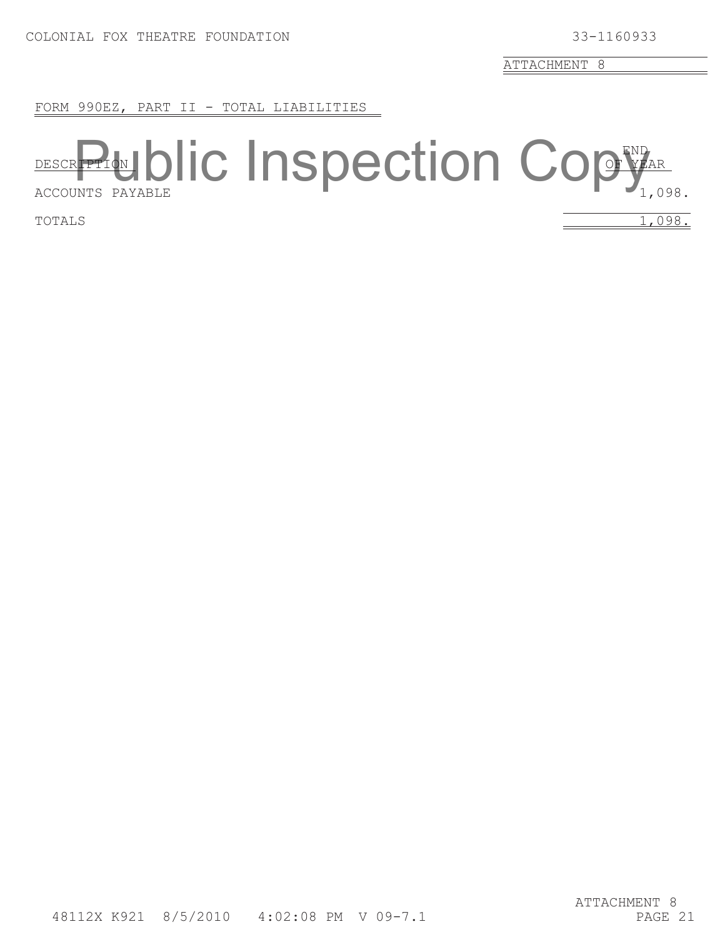FORM 990EZ, PART II - TOTAL LIABILITIES

## END DESCRIPTION OF YEAR DESCR**PTION DIC INSPECTION COPY**AR

TOTALS  $1,098.$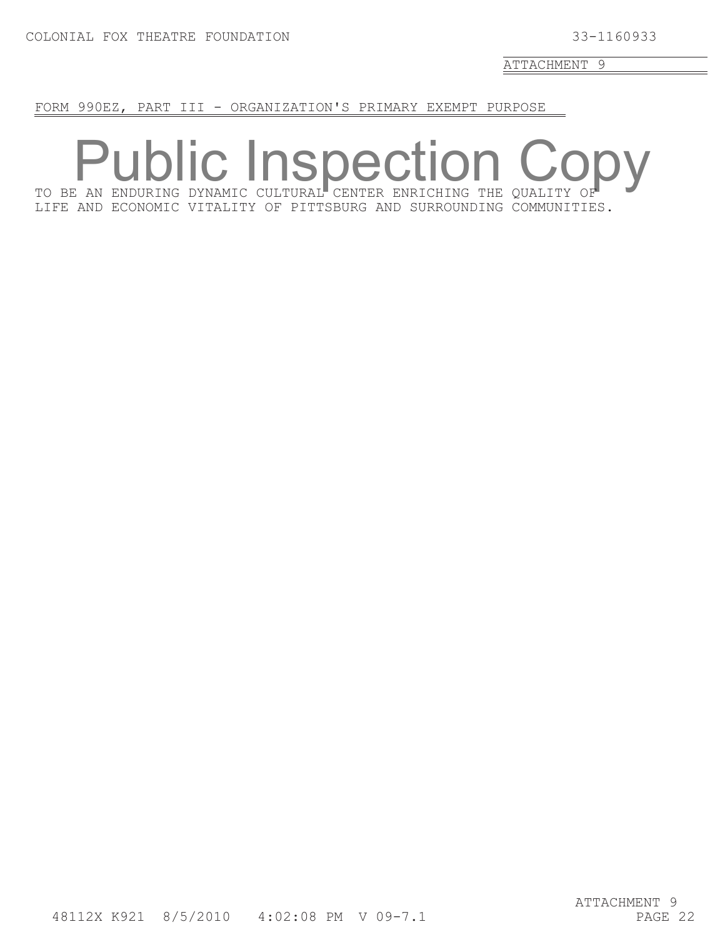FORM 990EZ, PART III - ORGANIZATION'S PRIMARY EXEMPT PURPOSE

TO BE AN ENDURING DYNAMIC CULTURAL CENTER ENRICHING THE QUALITY OF LIFE AND ECONOMIC VITALITY OF PITTSBURG AND SURROUNDING COMMUNITIES. **ublic Inspect**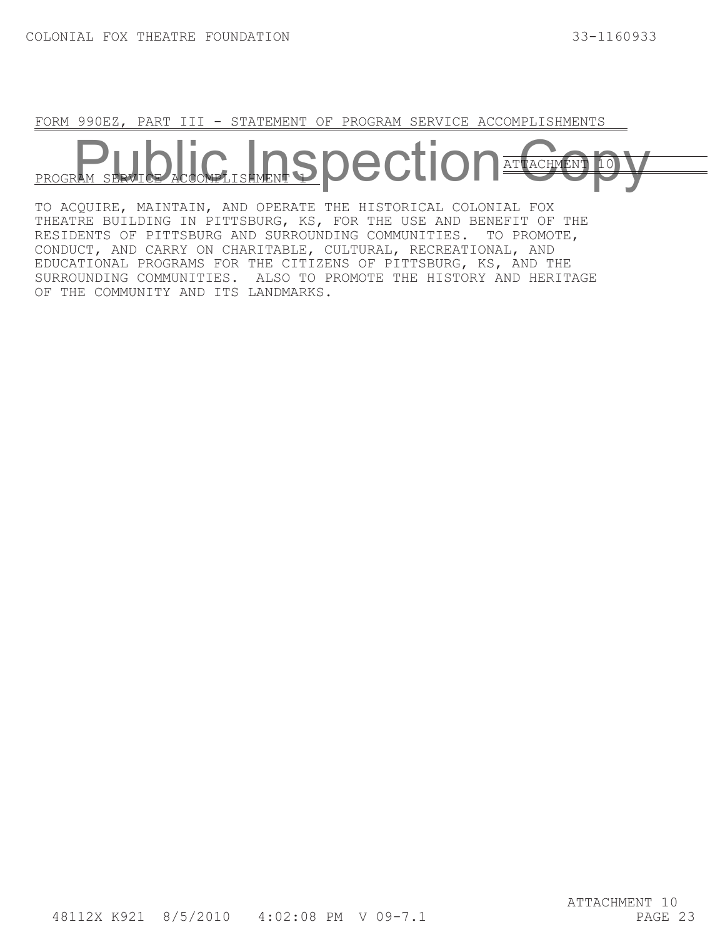FORM 990EZ, PART III - STATEMENT OF PROGRAM SERVICE ACCOMPLISHMENTS

ATTACHMENT PROGRAM **pection** 

TO ACQUIRE, MAINTAIN, AND OPERATE THE HISTORICAL COLONIAL FOX THEATRE BUILDING IN PITTSBURG, KS, FOR THE USE AND BENEFIT OF THE RESIDENTS OF PITTSBURG AND SURROUNDING COMMUNITIES. TO PROMOTE, CONDUCT, AND CARRY ON CHARITABLE, CULTURAL, RECREATIONAL, AND EDUCATIONAL PROGRAMS FOR THE CITIZENS OF PITTSBURG, KS, AND THE SURROUNDING COMMUNITIES. ALSO TO PROMOTE THE HISTORY AND HERITAGE OF THE COMMUNITY AND ITS LANDMARKS.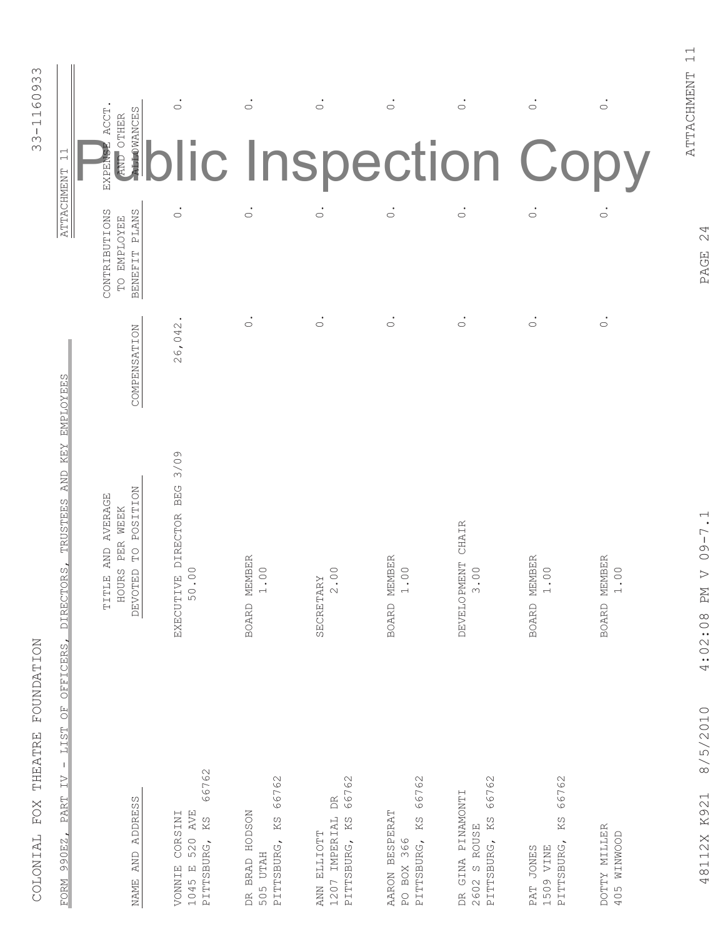| 3341160933<br>$\overline{\phantom{0}}$<br>$\overline{\phantom{0}}$<br><b>ATTACHMENT</b>                                                                                             | <b>ALLOWANCES</b><br>EXPENSE ACCT<br>AND OTHER<br>CONTRIBUTIONS<br><b>PLANS</b><br>TO EMPLOYEE<br><b>BENEFIT</b> | $\dot{\circ}$<br>$\dot{\circ}$                                      | $\dot{\circ}$<br>$\dot{\circ}$                                                        | $\dot{\circ}$<br>$\dot{\circ}$                                               | $\dot{\circ}$<br>$\dot{\circ}$                            | $\dot{\circ}$<br>$\dot{\circ}$                                              | $\dot{\circ}$<br>lic Inspection Copy<br>$\dot{\circ}$            | $\dot{\circ}$<br>$\dot{\circ}$ |
|-------------------------------------------------------------------------------------------------------------------------------------------------------------------------------------|------------------------------------------------------------------------------------------------------------------|---------------------------------------------------------------------|---------------------------------------------------------------------------------------|------------------------------------------------------------------------------|-----------------------------------------------------------|-----------------------------------------------------------------------------|------------------------------------------------------------------|--------------------------------|
| <b>EMPLOYEES</b>                                                                                                                                                                    | COMPENSATION                                                                                                     | 26,042                                                              | $\bullet$<br>$\circ$                                                                  | $\bullet$<br>$\circ$                                                         | $\bullet$<br>$\circ$                                      | $\circ$                                                                     | $\circ$                                                          | $\bullet$<br>$\circ$           |
| <b>KEY</b><br><b>AND</b><br><b>TRUSTEES</b><br>ORS,<br><b>DIRECT</b><br>OFFICERS,                                                                                                   | <b>POSITION</b><br>TITLE AND AVERAGE<br>PER WEEK<br>$\mathbb{C}$<br><b>HOURS</b><br><b>DEVOTED</b>               | 3/09<br><b>BEG</b><br>EXECUTIVE DIRECTOR<br>$\ddot{\circ}$<br>50    | BOARD MEMBER<br>$00$ .<br>$\overline{\phantom{0}}$                                    | $\circ$ .<br>SECRETARY<br>$\sim$                                             | <b>EMBER</b><br>$\ddot{\circ}$<br>BOARD M                 | CHAIR<br><b>DEVELOPMENT</b><br>$00$ .<br>$\infty$                           | <b>EMBER</b><br>$\circ$<br>BOARD M<br>$\overline{\phantom{0}}$   | BOARD MEMBER<br>00.            |
| COLONIAL FOX THEATRE FOUNDATION<br>$\begin{array}{c} \square \\ \square \end{array}$<br>LIST<br>$\mathsf I$<br>$\overline{\bot}$ $\overline{\lor}$<br><b>PART</b><br>990EZ,<br>FORM | <b>ADDRESS</b><br>AND<br>NAME                                                                                    | 66762<br>520 AVE<br>CORSINI<br>KS<br>PITTSBURG,<br>1045 E<br>VONNIE | 66762<br><b>HODSON</b><br>KS<br>PITTSBURG,<br><b>UTAH</b><br><b>BRAD</b><br>505<br>DR | 66762<br>$\mathbb{R}$<br>KS<br>IMPERIAL<br>ANN ELLIOTT<br>PITTSBURG,<br>1207 | 66762<br>AARON BESPERAT<br>KS<br>PO BOX 366<br>PITTSBURG, | 66762<br>GINA PINAMONTI<br>PITTSBURG, KS<br>S ROUSE<br>2602<br>$\mathbb{R}$ | 66762<br>KS<br>PITTSBURG,<br><b>JONES</b><br>VINE<br>1509<br>PAT | DOTTY MILLER<br>NINWOOD<br>405 |

COLONIAL FOX THEATRE FOUNDATION

ATTACHMENT 11

ATTACHMENT 11

PAGE 24

48112X K921 8/5/2010 4:02:08 PM V 09-7.1 PAGE 24 4:02:08 PM V 09-7.1 48112X K921 8/5/2010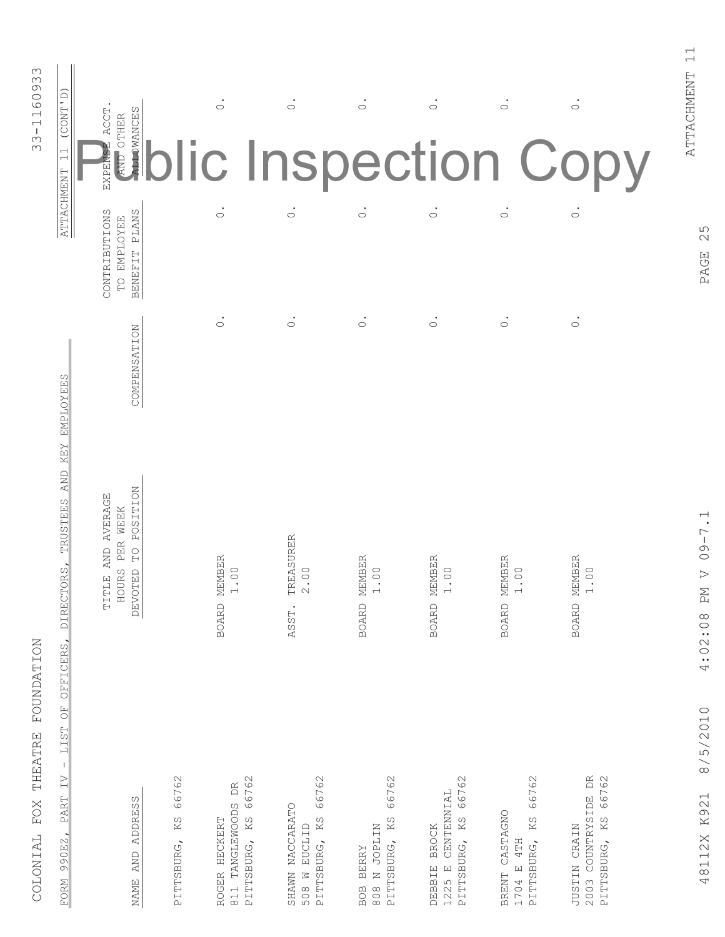| (CONT'D)<br>$\dot{\circ}$<br>$\dot{\circ}$<br>$\dot{\circ}$<br>$\dot{\circ}$<br>$\dot{\circ}$<br>$\dot{\circ}$<br><b>ALLOWANCES</b><br><b>ACCT</b><br>AND OTHER<br>EXPENSE<br>blic Inspection Copy<br>$\overline{\phantom{0}}$<br>$\overline{\phantom{0}}$<br>ATTACHMENT<br>$\dot{\circ}$<br>$\dot{\circ}$<br>$\overline{\circ}$<br>$\dot{\circ}$<br>$\overline{\circ}$<br>$\overline{\circ}$<br>CONTRIBUTIONS<br>BENEFIT PLANS<br>TO EMPLOYEE<br>$\bullet$<br>$\circ$<br>$\circ$<br>$\circ$<br>$\circ$<br>$\circ$<br>$\circ$<br>COMPENSATION<br><b>EMPLOYEES</b><br><b>KEY</b><br><b>AND</b><br><b>POSITION</b><br>TITLE AND AVERAGE<br><b>TRUSTEES</b><br>PER WEEK<br><b>REASURER</b><br>$\Omega$<br>BOARD MEMBER<br>MEMBER<br>EMBER<br>BOARD MEMBER<br><b>EMBER</b><br>DIRECTORS,<br>$00$ .<br>$00$ .<br>00.<br>$\overline{0}$ .<br>00.<br>0 <sup>o</sup><br><b>HOURS</b><br>TED<br>$\mathrel{\curvearrowright}$<br>DEVO'<br>Н<br>Σ<br>BOARD M<br><b>BOARD</b><br><b>BOARD</b><br>ASST.<br>OFFICERS,<br>$\overline{\text{O}}$<br>LIST<br>$\mathsf I$<br>$\overline{\Sigma}$<br>COUNTRYSIDE DR<br>66762<br>66762<br>66762<br>66762<br>66762<br>66762<br>66762<br>DR<br>CENTENNIAL<br><b>PART</b><br>ω<br><b>ADDRES</b><br>BRENT CASTAGNO<br>KS<br>PITTSBURG, KS<br>KS<br>KS<br>KS<br>JUSTIN CRAIN<br>EUCLID<br><b>BROCK</b><br>990EZ,<br>4TH<br>PITTSBURG,<br>AND<br>$\boxed{\mathbf{L}}$<br>2003<br>NAME<br>1704<br>$FORM$ | COLONIAL FOX THEATRE FOUNDATION                                          |  | 33-1160933 |
|-------------------------------------------------------------------------------------------------------------------------------------------------------------------------------------------------------------------------------------------------------------------------------------------------------------------------------------------------------------------------------------------------------------------------------------------------------------------------------------------------------------------------------------------------------------------------------------------------------------------------------------------------------------------------------------------------------------------------------------------------------------------------------------------------------------------------------------------------------------------------------------------------------------------------------------------------------------------------------------------------------------------------------------------------------------------------------------------------------------------------------------------------------------------------------------------------------------------------------------------------------------------------------------------------------------------------------------------------------------------------------------------------------------------------------|--------------------------------------------------------------------------|--|------------|
|                                                                                                                                                                                                                                                                                                                                                                                                                                                                                                                                                                                                                                                                                                                                                                                                                                                                                                                                                                                                                                                                                                                                                                                                                                                                                                                                                                                                                               |                                                                          |  |            |
|                                                                                                                                                                                                                                                                                                                                                                                                                                                                                                                                                                                                                                                                                                                                                                                                                                                                                                                                                                                                                                                                                                                                                                                                                                                                                                                                                                                                                               |                                                                          |  |            |
|                                                                                                                                                                                                                                                                                                                                                                                                                                                                                                                                                                                                                                                                                                                                                                                                                                                                                                                                                                                                                                                                                                                                                                                                                                                                                                                                                                                                                               | TANGLEWOODS<br>ROGER HECKERT<br>PITTSBURG,<br>PITTSBURG,                 |  |            |
|                                                                                                                                                                                                                                                                                                                                                                                                                                                                                                                                                                                                                                                                                                                                                                                                                                                                                                                                                                                                                                                                                                                                                                                                                                                                                                                                                                                                                               | SHAWN NACCARATO<br>PITTSBURG, KS<br>508 W                                |  |            |
|                                                                                                                                                                                                                                                                                                                                                                                                                                                                                                                                                                                                                                                                                                                                                                                                                                                                                                                                                                                                                                                                                                                                                                                                                                                                                                                                                                                                                               | PITTSBURG, KS<br>N JOPLIN<br><b>BERRY</b>                                |  |            |
|                                                                                                                                                                                                                                                                                                                                                                                                                                                                                                                                                                                                                                                                                                                                                                                                                                                                                                                                                                                                                                                                                                                                                                                                                                                                                                                                                                                                                               | PITTSBURG,<br><b>DEBBIE</b><br>$\begin{bmatrix} 1 \end{bmatrix}$<br>1225 |  |            |
|                                                                                                                                                                                                                                                                                                                                                                                                                                                                                                                                                                                                                                                                                                                                                                                                                                                                                                                                                                                                                                                                                                                                                                                                                                                                                                                                                                                                                               |                                                                          |  |            |
|                                                                                                                                                                                                                                                                                                                                                                                                                                                                                                                                                                                                                                                                                                                                                                                                                                                                                                                                                                                                                                                                                                                                                                                                                                                                                                                                                                                                                               |                                                                          |  |            |

COLONIAL FOX THEATRE FOUNDATION

PAGE 25

48112X K921 8/5/2010 4:02:08 PM V 09-7.1 PAGE 25 4:02:08 PM V 09-7.1 48112X K921 8/5/2010

ATTACHMENT 11 ATTACHMENT 11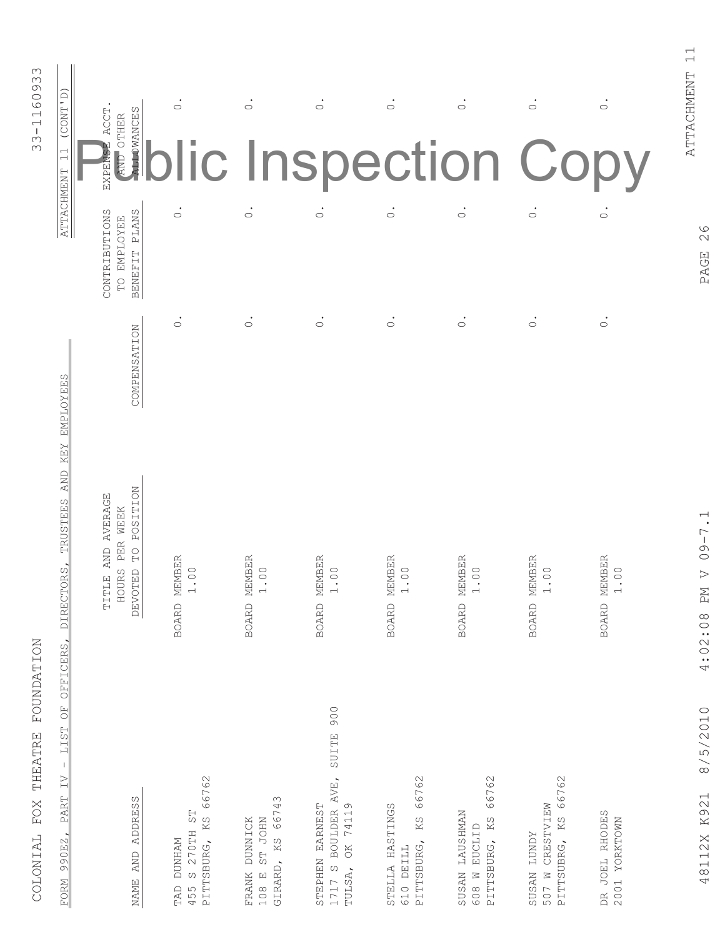| 33-1160933                      | (CONT'D)<br>$\overline{\phantom{0}}$                                                                                                 | <b>ALLOWANCES</b><br><b>ACCT</b><br>AND OTHER<br>EXPENSE                                     | $\dot{\circ}$                                                                            | $\dot{\circ}$                                                   | $\dot{\circ}$                                                                                   | $\dot{\circ}$                                             | $\dot{\circ}$                                                          | $\circ$<br>lic Inspection Copy                                              | $\dot{\circ}$                   |
|---------------------------------|--------------------------------------------------------------------------------------------------------------------------------------|----------------------------------------------------------------------------------------------|------------------------------------------------------------------------------------------|-----------------------------------------------------------------|-------------------------------------------------------------------------------------------------|-----------------------------------------------------------|------------------------------------------------------------------------|-----------------------------------------------------------------------------|---------------------------------|
|                                 | <b>ATTACHMENT</b>                                                                                                                    | BENEFIT PLANS<br>CONTRIBUTIONS<br>TO EMPLOYEE                                                | $\dot{\circ}$                                                                            | $\dot{\circ}$                                                   | $\dot{\circ}$                                                                                   | $\dot{\circ}$                                             | $\dot{\circ}$                                                          | $\dot{\circ}$                                                               | $\circ$                         |
|                                 | <b>EMPLOYEES</b>                                                                                                                     | COMPENSATION                                                                                 | $\bullet$<br>$\circ$                                                                     | $\dot{\circ}$                                                   | $\dot{\circ}$                                                                                   | $\dot{\circ}$                                             | $\circ$                                                                | $\dot{\circ}$                                                               | $\dot{\circ}$                   |
|                                 | KEY<br><b>AND</b><br><b>TRUSTEES</b><br>DIRECTORS,<br><b>OFFICERS</b>                                                                | <b>POSITION</b><br>TITLE AND AVERAGE<br>PER WEEK<br>$\Omega$<br>DEVOTED<br><b>IOURS</b><br>H | MEMBER<br>1.00<br><b>BOARD</b>                                                           | MEMBER<br>$1.00$<br><b>BOARD</b>                                | MEMBER<br>$1.00$<br><b>BOARD</b>                                                                | MEMBER<br>1.00<br><b>BOARD</b>                            | MEMBER<br>1.00<br><b>BOARD</b>                                         | MEMBER<br>1.00<br><b>BOARD</b>                                              | MEMBER<br>1.00<br><b>BOARD</b>  |
| COLONIAL FOX THEATRE FOUNDATION | $\begin{array}{c} \square \cr \square \cr \square \cr \end{array}$<br>LIST<br>$\mathsf I$<br>$\geq$<br><b>PART</b><br>990EZ,<br>FORM | <b>ADDRESS</b><br><b>AND</b><br>NAME                                                         | 66762<br>FS<br>S<br>KS<br>270TH<br><b>DUNHAM</b><br>PITTSBURG,<br>$\sigma$<br>TAD<br>455 | 66743<br>FRANK DUNNICK<br><b>ST JOHN</b><br>GIRARD, KS<br>108 E | 900<br><b>SUITE</b><br>BOULDER AVE,<br>OK 74119<br>STEPHEN EARNEST<br>$\circ$<br>TULSA,<br>1717 | 66762<br>STELLA HASTINGS<br>KS<br>PITTSBURG,<br>610 DEILL | 66762<br>SUSAN LAUSHMAN<br>KS<br>EUCLID<br>PITTSBURG,<br>$\geq$<br>608 | 66762<br>CRESTVIEW<br>507 W CRESTVIE<br>PITTSUBRG, KS<br><b>ZONAL NESDS</b> | DR JOEL RHODES<br>2001 YORKTOWN |

COLONIAI, FOX THEATRE FOINDATION

PAGE 26

ATTACHMENT 11

ATTACHMENT 11

48112X K921 8/5/2010 4:02:08 PM V 09-7.1 PAGE 26 4:02:08 PM V 09-7.1 48112X K921 8/5/2010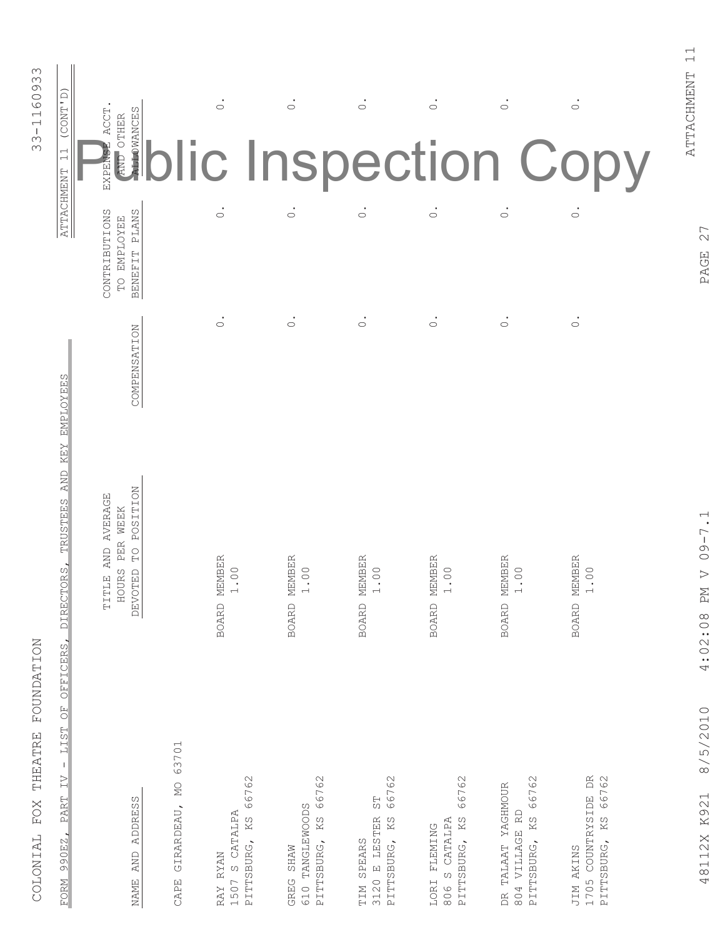| <b>AND</b><br><b>HOURS</b><br><b>DEVOTED</b><br>TITLE |
|-------------------------------------------------------|
| BOARD MEMBER<br>00.                                   |
| MEMBER<br>$00$ .                                      |
| BOARD MEMBER<br>00.<br>$\overline{\phantom{0}}$       |
| MEMBER<br>00.                                         |
| <b>EMBER</b><br>00.<br>BOARD M                        |
| BOARD MEMBER<br>$\circ$ .<br>$\overline{ }$           |

48112X K921 8/5/2010

4:02:08 PM V 09-7.1

PAGE 27 48112X K921 8/5/2010 4:02:08 PM V 09-7.1 PAGE 27

ATTACHMENT 11

ATTACHMENT 11